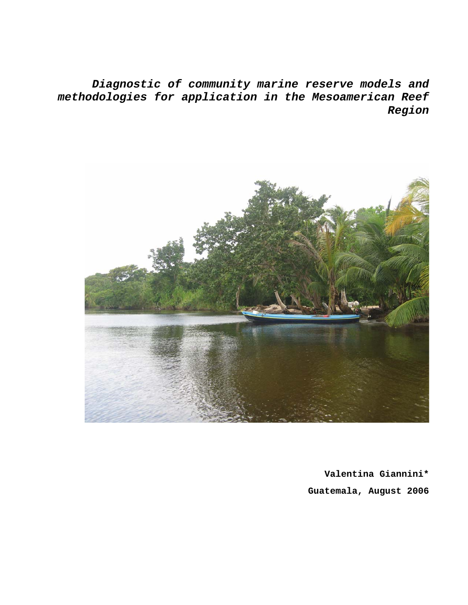*Diagnostic of community marine reserve models and methodologies for application in the Mesoamerican Reef Region* 



**Valentina Giannini\* Guatemala, August 2006**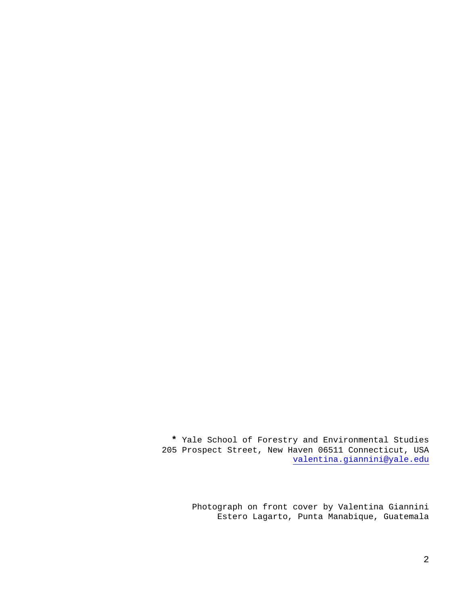**\*** Yale School of Forestry and Environmental Studies 205 Prospect Street, New Haven 06511 Connecticut, USA valentina.giannini@yale.edu

> Photograph on front cover by Valentina Giannini Estero Lagarto, Punta Manabique, Guatemala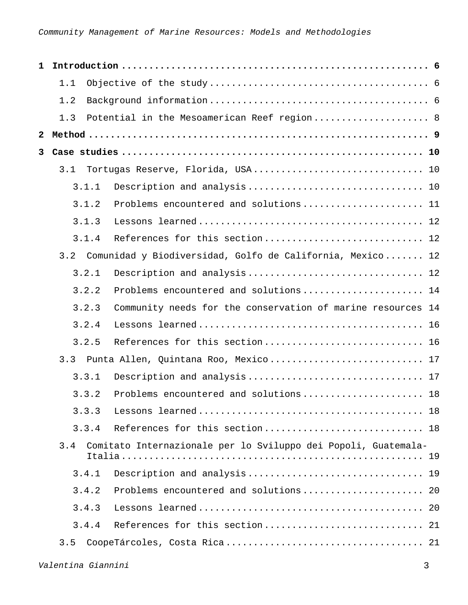| $\mathbf{1}$ |       |                                                                |  |
|--------------|-------|----------------------------------------------------------------|--|
|              | 1.1   |                                                                |  |
|              | 1.2   |                                                                |  |
|              | 1.3   | Potential in the Mesoamerican Reef region 8                    |  |
| $\mathbf{2}$ |       |                                                                |  |
| 3            |       |                                                                |  |
|              | 3.1   | Tortugas Reserve, Florida, USA 10                              |  |
|              | 3.1.1 |                                                                |  |
|              | 3.1.2 | Problems encountered and solutions 11                          |  |
|              | 3.1.3 |                                                                |  |
|              | 3.1.4 | References for this section 12                                 |  |
|              | 3.2   | Comunidad y Biodiversidad, Golfo de California, Mexico 12      |  |
|              | 3.2.1 | Description and analysis 12                                    |  |
|              | 3.2.2 | Problems encountered and solutions  14                         |  |
|              | 3.2.3 | Community needs for the conservation of marine resources 14    |  |
|              | 3.2.4 |                                                                |  |
|              | 3.2.5 | References for this section 16                                 |  |
|              | 3.3   | Punta Allen, Quintana Roo, Mexico 17                           |  |
|              | 3.3.1 |                                                                |  |
|              | 3.3.2 | Problems encountered and solutions 18                          |  |
|              | 3.3.3 |                                                                |  |
|              | 3.3.4 |                                                                |  |
|              | 3.4   | Comitato Internazionale per lo Sviluppo dei Popoli, Guatemala- |  |
|              | 3.4.1 |                                                                |  |
|              | 3.4.2 |                                                                |  |
|              | 3.4.3 |                                                                |  |
|              | 3.4.4 |                                                                |  |
|              | 3.5   |                                                                |  |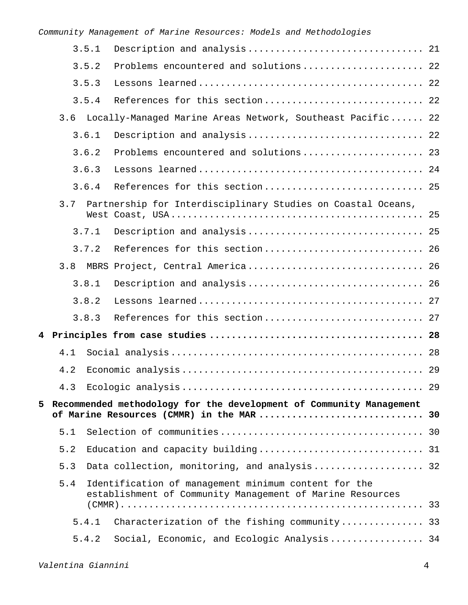| 3.5.1<br>3.5.2<br>3.5.3<br>3.5.4<br>3.6<br>Locally-Managed Marine Areas Network, Southeast Pacific 22<br>3.6.1<br>3.6.2<br>3.6.3<br>3.6.4<br>3.7<br>Partnership for Interdisciplinary Studies on Coastal Oceans,<br>3.7.1<br>3.7.2<br>3.8<br>MBRS Project, Central America 26<br>3.8.1<br>3.8.2<br>3.8.3<br>4.1<br>4.2<br>4.3<br>5<br>Recommended methodology for the development of Community Management<br>of Marine Resources (CMMR) in the MAR  30<br>5.1<br>5.2<br>5.3<br>Data collection, monitoring, and analysis 32<br>5.4<br>Identification of management minimum content for the<br>establishment of Community Management of Marine Resources<br>5.4.1<br>5.4.2 |  |                                              |  |
|---------------------------------------------------------------------------------------------------------------------------------------------------------------------------------------------------------------------------------------------------------------------------------------------------------------------------------------------------------------------------------------------------------------------------------------------------------------------------------------------------------------------------------------------------------------------------------------------------------------------------------------------------------------------------|--|----------------------------------------------|--|
|                                                                                                                                                                                                                                                                                                                                                                                                                                                                                                                                                                                                                                                                           |  |                                              |  |
|                                                                                                                                                                                                                                                                                                                                                                                                                                                                                                                                                                                                                                                                           |  | Problems encountered and solutions 22        |  |
|                                                                                                                                                                                                                                                                                                                                                                                                                                                                                                                                                                                                                                                                           |  |                                              |  |
|                                                                                                                                                                                                                                                                                                                                                                                                                                                                                                                                                                                                                                                                           |  | References for this section 22               |  |
|                                                                                                                                                                                                                                                                                                                                                                                                                                                                                                                                                                                                                                                                           |  |                                              |  |
|                                                                                                                                                                                                                                                                                                                                                                                                                                                                                                                                                                                                                                                                           |  |                                              |  |
|                                                                                                                                                                                                                                                                                                                                                                                                                                                                                                                                                                                                                                                                           |  | Problems encountered and solutions 23        |  |
|                                                                                                                                                                                                                                                                                                                                                                                                                                                                                                                                                                                                                                                                           |  |                                              |  |
|                                                                                                                                                                                                                                                                                                                                                                                                                                                                                                                                                                                                                                                                           |  |                                              |  |
|                                                                                                                                                                                                                                                                                                                                                                                                                                                                                                                                                                                                                                                                           |  |                                              |  |
|                                                                                                                                                                                                                                                                                                                                                                                                                                                                                                                                                                                                                                                                           |  | Description and analysis 25                  |  |
|                                                                                                                                                                                                                                                                                                                                                                                                                                                                                                                                                                                                                                                                           |  | References for this section 26               |  |
|                                                                                                                                                                                                                                                                                                                                                                                                                                                                                                                                                                                                                                                                           |  |                                              |  |
|                                                                                                                                                                                                                                                                                                                                                                                                                                                                                                                                                                                                                                                                           |  |                                              |  |
|                                                                                                                                                                                                                                                                                                                                                                                                                                                                                                                                                                                                                                                                           |  |                                              |  |
|                                                                                                                                                                                                                                                                                                                                                                                                                                                                                                                                                                                                                                                                           |  |                                              |  |
|                                                                                                                                                                                                                                                                                                                                                                                                                                                                                                                                                                                                                                                                           |  |                                              |  |
|                                                                                                                                                                                                                                                                                                                                                                                                                                                                                                                                                                                                                                                                           |  |                                              |  |
|                                                                                                                                                                                                                                                                                                                                                                                                                                                                                                                                                                                                                                                                           |  |                                              |  |
|                                                                                                                                                                                                                                                                                                                                                                                                                                                                                                                                                                                                                                                                           |  |                                              |  |
|                                                                                                                                                                                                                                                                                                                                                                                                                                                                                                                                                                                                                                                                           |  |                                              |  |
|                                                                                                                                                                                                                                                                                                                                                                                                                                                                                                                                                                                                                                                                           |  |                                              |  |
|                                                                                                                                                                                                                                                                                                                                                                                                                                                                                                                                                                                                                                                                           |  |                                              |  |
|                                                                                                                                                                                                                                                                                                                                                                                                                                                                                                                                                                                                                                                                           |  |                                              |  |
|                                                                                                                                                                                                                                                                                                                                                                                                                                                                                                                                                                                                                                                                           |  |                                              |  |
|                                                                                                                                                                                                                                                                                                                                                                                                                                                                                                                                                                                                                                                                           |  |                                              |  |
|                                                                                                                                                                                                                                                                                                                                                                                                                                                                                                                                                                                                                                                                           |  | Characterization of the fishing community 33 |  |
|                                                                                                                                                                                                                                                                                                                                                                                                                                                                                                                                                                                                                                                                           |  | Social, Economic, and Ecologic Analysis 34   |  |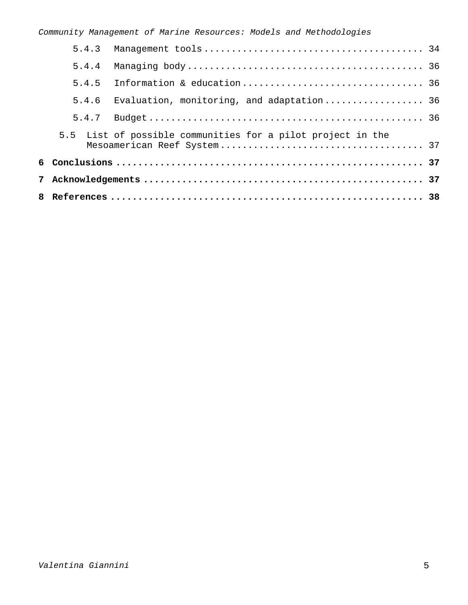| 5.4.3 |                                                             |  |
|-------|-------------------------------------------------------------|--|
| 5.4.4 |                                                             |  |
| 5.4.5 |                                                             |  |
|       | 5.4.6 Evaluation, monitoring, and adaptation 36             |  |
| 5.4.7 |                                                             |  |
|       | 5.5 List of possible communities for a pilot project in the |  |
|       |                                                             |  |
|       |                                                             |  |
|       |                                                             |  |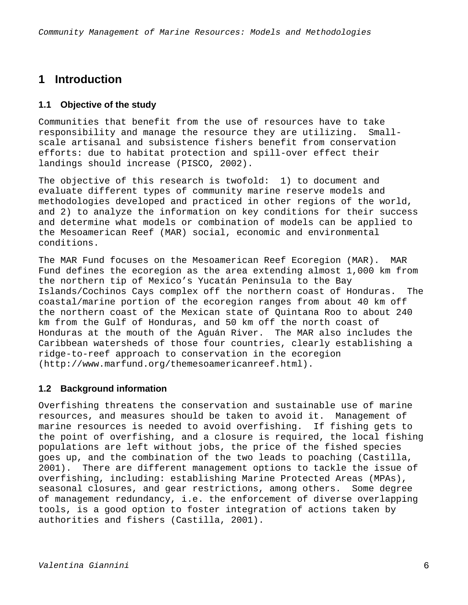# **1 Introduction**

# **1.1 Objective of the study**

Communities that benefit from the use of resources have to take responsibility and manage the resource they are utilizing. Smallscale artisanal and subsistence fishers benefit from conservation efforts: due to habitat protection and spill-over effect their landings should increase (PISCO, 2002).

The objective of this research is twofold: 1) to document and evaluate different types of community marine reserve models and methodologies developed and practiced in other regions of the world, and 2) to analyze the information on key conditions for their success and determine what models or combination of models can be applied to the Mesoamerican Reef (MAR) social, economic and environmental conditions.

The MAR Fund focuses on the Mesoamerican Reef Ecoregion (MAR). MAR Fund defines the ecoregion as the area extending almost 1,000 km from the northern tip of Mexico's Yucatán Peninsula to the Bay Islands/Cochinos Cays complex off the northern coast of Honduras. The coastal/marine portion of the ecoregion ranges from about 40 km off the northern coast of the Mexican state of Quintana Roo to about 240 km from the Gulf of Honduras, and 50 km off the north coast of Honduras at the mouth of the Aguán River. The MAR also includes the Caribbean watersheds of those four countries, clearly establishing a ridge-to-reef approach to conservation in the ecoregion (http://www.marfund.org/themesoamericanreef.html).

# **1.2 Background information**

Overfishing threatens the conservation and sustainable use of marine resources, and measures should be taken to avoid it. Management of marine resources is needed to avoid overfishing. If fishing gets to the point of overfishing, and a closure is required, the local fishing populations are left without jobs, the price of the fished species goes up, and the combination of the two leads to poaching (Castilla, 2001). There are different management options to tackle the issue of overfishing, including: establishing Marine Protected Areas (MPAs), seasonal closures, and gear restrictions, among others. Some degree of management redundancy, i.e. the enforcement of diverse overlapping tools, is a good option to foster integration of actions taken by authorities and fishers (Castilla, 2001).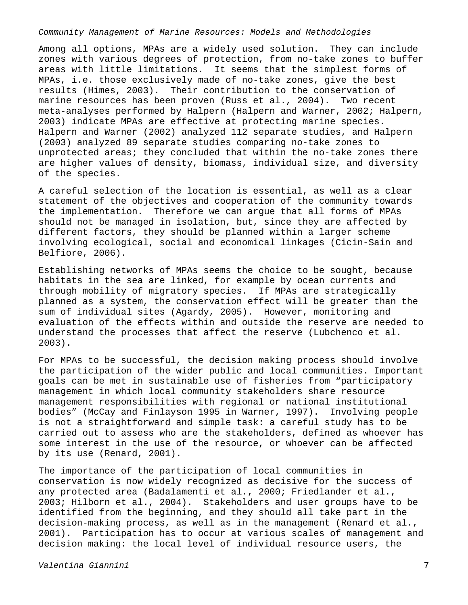Among all options, MPAs are a widely used solution. They can include zones with various degrees of protection, from no-take zones to buffer areas with little limitations. It seems that the simplest forms of MPAs, i.e. those exclusively made of no-take zones, give the best results (Himes, 2003). Their contribution to the conservation of marine resources has been proven (Russ et al., 2004). Two recent meta-analyses performed by Halpern (Halpern and Warner, 2002; Halpern, 2003) indicate MPAs are effective at protecting marine species. Halpern and Warner (2002) analyzed 112 separate studies, and Halpern (2003) analyzed 89 separate studies comparing no-take zones to unprotected areas; they concluded that within the no-take zones there are higher values of density, biomass, individual size, and diversity of the species.

A careful selection of the location is essential, as well as a clear statement of the objectives and cooperation of the community towards the implementation. Therefore we can argue that all forms of MPAs should not be managed in isolation, but, since they are affected by different factors, they should be planned within a larger scheme involving ecological, social and economical linkages (Cicin-Sain and Belfiore, 2006).

Establishing networks of MPAs seems the choice to be sought, because habitats in the sea are linked, for example by ocean currents and through mobility of migratory species. If MPAs are strategically planned as a system, the conservation effect will be greater than the sum of individual sites (Agardy, 2005). However, monitoring and evaluation of the effects within and outside the reserve are needed to understand the processes that affect the reserve (Lubchenco et al. 2003).

For MPAs to be successful, the decision making process should involve the participation of the wider public and local communities. Important goals can be met in sustainable use of fisheries from "participatory management in which local community stakeholders share resource management responsibilities with regional or national institutional bodies" (McCay and Finlayson 1995 in Warner, 1997). Involving people is not a straightforward and simple task: a careful study has to be carried out to assess who are the stakeholders, defined as whoever has some interest in the use of the resource, or whoever can be affected by its use (Renard, 2001).

The importance of the participation of local communities in conservation is now widely recognized as decisive for the success of any protected area (Badalamenti et al., 2000; Friedlander et al., 2003; Hilborn et al., 2004). Stakeholders and user groups have to be identified from the beginning, and they should all take part in the decision-making process, as well as in the management (Renard et al., 2001). Participation has to occur at various scales of management and decision making: the local level of individual resource users, the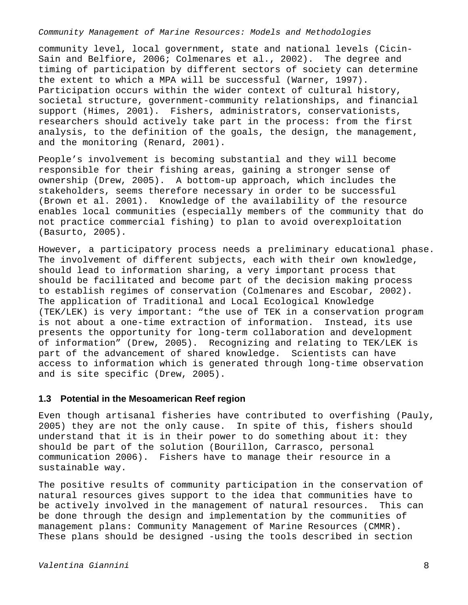community level, local government, state and national levels (Cicin-Sain and Belfiore, 2006; Colmenares et al., 2002). The degree and timing of participation by different sectors of society can determine the extent to which a MPA will be successful (Warner, 1997). Participation occurs within the wider context of cultural history, societal structure, government-community relationships, and financial support (Himes, 2001). Fishers, administrators, conservationists, researchers should actively take part in the process: from the first analysis, to the definition of the goals, the design, the management, and the monitoring (Renard, 2001).

People's involvement is becoming substantial and they will become responsible for their fishing areas, gaining a stronger sense of ownership (Drew, 2005). A bottom-up approach, which includes the stakeholders, seems therefore necessary in order to be successful (Brown et al. 2001). Knowledge of the availability of the resource enables local communities (especially members of the community that do not practice commercial fishing) to plan to avoid overexploitation (Basurto, 2005).

However, a participatory process needs a preliminary educational phase. The involvement of different subjects, each with their own knowledge, should lead to information sharing, a very important process that should be facilitated and become part of the decision making process to establish regimes of conservation (Colmenares and Escobar, 2002). The application of Traditional and Local Ecological Knowledge (TEK/LEK) is very important: "the use of TEK in a conservation program is not about a one-time extraction of information. Instead, its use presents the opportunity for long-term collaboration and development of information" (Drew, 2005). Recognizing and relating to TEK/LEK is part of the advancement of shared knowledge. Scientists can have access to information which is generated through long-time observation and is site specific (Drew, 2005).

### **1.3 Potential in the Mesoamerican Reef region**

Even though artisanal fisheries have contributed to overfishing (Pauly, 2005) they are not the only cause. In spite of this, fishers should understand that it is in their power to do something about it: they should be part of the solution (Bourillon, Carrasco, personal communication 2006). Fishers have to manage their resource in a sustainable way.

The positive results of community participation in the conservation of natural resources gives support to the idea that communities have to be actively involved in the management of natural resources. This can be done through the design and implementation by the communities of management plans: Community Management of Marine Resources (CMMR). These plans should be designed -using the tools described in section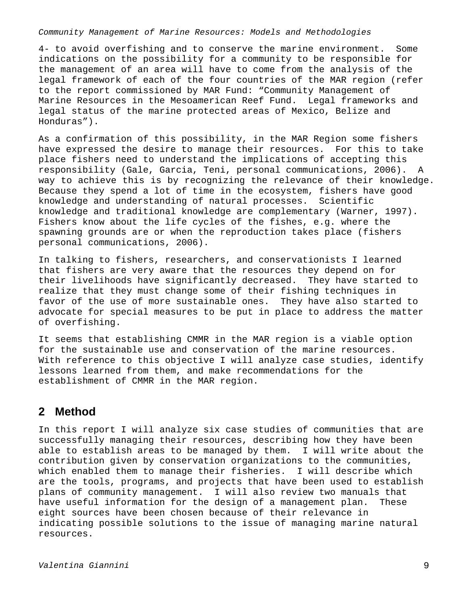4- to avoid overfishing and to conserve the marine environment. Some indications on the possibility for a community to be responsible for the management of an area will have to come from the analysis of the legal framework of each of the four countries of the MAR region (refer to the report commissioned by MAR Fund: "Community Management of Marine Resources in the Mesoamerican Reef Fund. Legal frameworks and legal status of the marine protected areas of Mexico, Belize and Honduras").

As a confirmation of this possibility, in the MAR Region some fishers have expressed the desire to manage their resources. For this to take place fishers need to understand the implications of accepting this responsibility (Gale, Garcia, Teni, personal communications, 2006). A way to achieve this is by recognizing the relevance of their knowledge. Because they spend a lot of time in the ecosystem, fishers have good knowledge and understanding of natural processes. Scientific knowledge and traditional knowledge are complementary (Warner, 1997). Fishers know about the life cycles of the fishes, e.g. where the spawning grounds are or when the reproduction takes place (fishers personal communications, 2006).

In talking to fishers, researchers, and conservationists I learned that fishers are very aware that the resources they depend on for their livelihoods have significantly decreased. They have started to realize that they must change some of their fishing techniques in favor of the use of more sustainable ones. They have also started to advocate for special measures to be put in place to address the matter of overfishing.

It seems that establishing CMMR in the MAR region is a viable option for the sustainable use and conservation of the marine resources. With reference to this objective I will analyze case studies, identify lessons learned from them, and make recommendations for the establishment of CMMR in the MAR region.

# **2 Method**

In this report I will analyze six case studies of communities that are successfully managing their resources, describing how they have been able to establish areas to be managed by them. I will write about the contribution given by conservation organizations to the communities, which enabled them to manage their fisheries. I will describe which are the tools, programs, and projects that have been used to establish plans of community management. I will also review two manuals that have useful information for the design of a management plan. These eight sources have been chosen because of their relevance in indicating possible solutions to the issue of managing marine natural resources.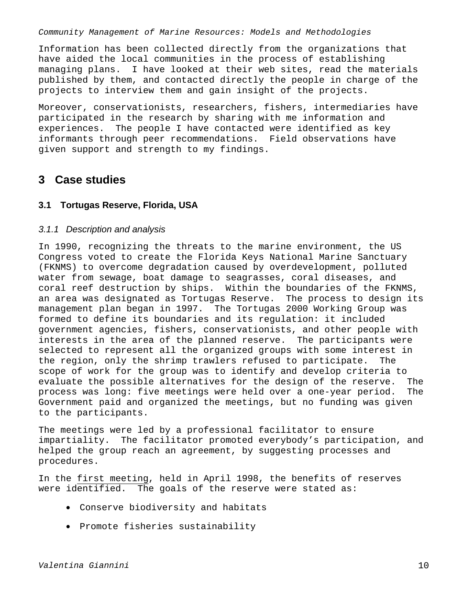Information has been collected directly from the organizations that have aided the local communities in the process of establishing managing plans. I have looked at their web sites, read the materials published by them, and contacted directly the people in charge of the projects to interview them and gain insight of the projects.

Moreover, conservationists, researchers, fishers, intermediaries have participated in the research by sharing with me information and experiences. The people I have contacted were identified as key informants through peer recommendations. Field observations have given support and strength to my findings.

# **3 Case studies**

# **3.1 Tortugas Reserve, Florida, USA**

### *3.1.1 Description and analysis*

In 1990, recognizing the threats to the marine environment, the US Congress voted to create the Florida Keys National Marine Sanctuary (FKNMS) to overcome degradation caused by overdevelopment, polluted water from sewage, boat damage to seagrasses, coral diseases, and coral reef destruction by ships. Within the boundaries of the FKNMS, an area was designated as Tortugas Reserve. The process to design its management plan began in 1997. The Tortugas 2000 Working Group was formed to define its boundaries and its regulation: it included government agencies, fishers, conservationists, and other people with interests in the area of the planned reserve. The participants were selected to represent all the organized groups with some interest in the region, only the shrimp trawlers refused to participate. The scope of work for the group was to identify and develop criteria to evaluate the possible alternatives for the design of the reserve. The process was long: five meetings were held over a one-year period. The Government paid and organized the meetings, but no funding was given to the participants.

The meetings were led by a professional facilitator to ensure impartiality. The facilitator promoted everybody's participation, and helped the group reach an agreement, by suggesting processes and procedures.

In the first meeting, held in April 1998, the benefits of reserves were identified. The goals of the reserve were stated as:

- Conserve biodiversity and habitats
- Promote fisheries sustainability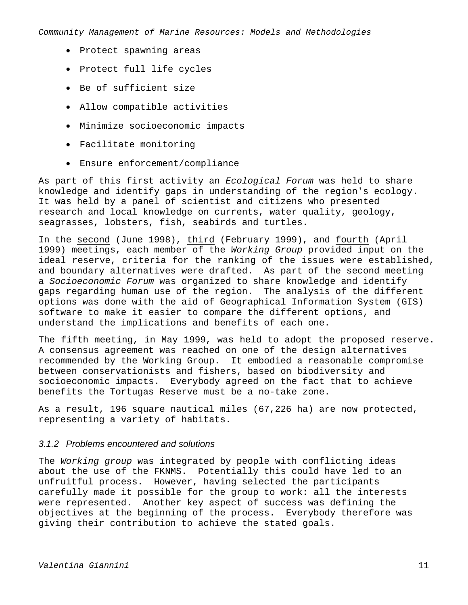- Protect spawning areas
- Protect full life cycles
- Be of sufficient size
- Allow compatible activities
- Minimize socioeconomic impacts
- Facilitate monitoring
- Ensure enforcement/compliance

As part of this first activity an *Ecological Forum* was held to share knowledge and identify gaps in understanding of the region's ecology. It was held by a panel of scientist and citizens who presented research and local knowledge on currents, water quality, geology, seagrasses, lobsters, fish, seabirds and turtles.

In the second (June 1998), third (February 1999), and fourth (April 1999) meetings, each member of the *Working Group* provided input on the ideal reserve, criteria for the ranking of the issues were established, and boundary alternatives were drafted. As part of the second meeting a *Socioeconomic Forum* was organized to share knowledge and identify gaps regarding human use of the region. The analysis of the different options was done with the aid of Geographical Information System (GIS) software to make it easier to compare the different options, and understand the implications and benefits of each one.

The fifth meeting, in May 1999, was held to adopt the proposed reserve. A consensus agreement was reached on one of the design alternatives recommended by the Working Group. It embodied a reasonable compromise between conservationists and fishers, based on biodiversity and socioeconomic impacts. Everybody agreed on the fact that to achieve benefits the Tortugas Reserve must be a no-take zone.

As a result, 196 square nautical miles (67,226 ha) are now protected, representing a variety of habitats.

### *3.1.2 Problems encountered and solutions*

The *Working group* was integrated by people with conflicting ideas about the use of the FKNMS. Potentially this could have led to an unfruitful process. However, having selected the participants carefully made it possible for the group to work: all the interests were represented. Another key aspect of success was defining the objectives at the beginning of the process. Everybody therefore was giving their contribution to achieve the stated goals.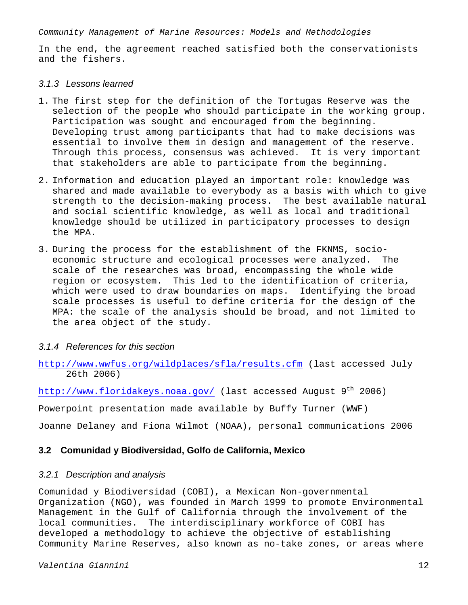In the end, the agreement reached satisfied both the conservationists and the fishers.

### *3.1.3 Lessons learned*

- 1. The first step for the definition of the Tortugas Reserve was the selection of the people who should participate in the working group. Participation was sought and encouraged from the beginning. Developing trust among participants that had to make decisions was essential to involve them in design and management of the reserve. Through this process, consensus was achieved. It is very important that stakeholders are able to participate from the beginning.
- 2. Information and education played an important role: knowledge was shared and made available to everybody as a basis with which to give strength to the decision-making process. The best available natural and social scientific knowledge, as well as local and traditional knowledge should be utilized in participatory processes to design the MPA.
- 3. During the process for the establishment of the FKNMS, socioeconomic structure and ecological processes were analyzed. The scale of the researches was broad, encompassing the whole wide region or ecosystem. This led to the identification of criteria, which were used to draw boundaries on maps. Identifying the broad scale processes is useful to define criteria for the design of the MPA: the scale of the analysis should be broad, and not limited to the area object of the study.

## *3.1.4 References for this section*

http://www.wwfus.org/wildplaces/sfla/results.cfm (last accessed July 26th 2006)

http://www.floridakeys.noaa.gov/ (last accessed August  $9<sup>th</sup>$  2006)

Powerpoint presentation made available by Buffy Turner (WWF)

Joanne Delaney and Fiona Wilmot (NOAA), personal communications 2006

# **3.2 Comunidad y Biodiversidad, Golfo de California, Mexico**

## *3.2.1 Description and analysis*

Comunidad y Biodiversidad (COBI), a Mexican Non-governmental Organization (NGO), was founded in March 1999 to promote Environmental Management in the Gulf of California through the involvement of the local communities. The interdisciplinary workforce of COBI has developed a methodology to achieve the objective of establishing Community Marine Reserves, also known as no-take zones, or areas where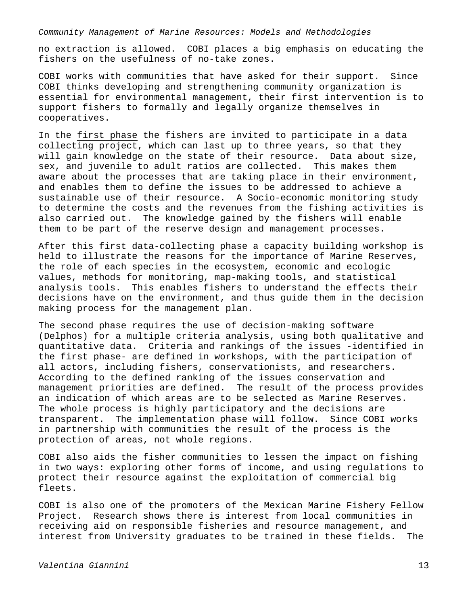no extraction is allowed. COBI places a big emphasis on educating the fishers on the usefulness of no-take zones.

COBI works with communities that have asked for their support. Since COBI thinks developing and strengthening community organization is essential for environmental management, their first intervention is to support fishers to formally and legally organize themselves in cooperatives.

In the first phase the fishers are invited to participate in a data collecting project, which can last up to three years, so that they will gain knowledge on the state of their resource. Data about size, sex, and juvenile to adult ratios are collected. This makes them aware about the processes that are taking place in their environment, and enables them to define the issues to be addressed to achieve a sustainable use of their resource. A Socio-economic monitoring study to determine the costs and the revenues from the fishing activities is also carried out. The knowledge gained by the fishers will enable them to be part of the reserve design and management processes.

After this first data-collecting phase a capacity building workshop is held to illustrate the reasons for the importance of Marine Reserves, the role of each species in the ecosystem, economic and ecologic values, methods for monitoring, map-making tools, and statistical analysis tools. This enables fishers to understand the effects their decisions have on the environment, and thus guide them in the decision making process for the management plan.

The second phase requires the use of decision-making software (Delphos) for a multiple criteria analysis, using both qualitative and quantitative data. Criteria and rankings of the issues -identified in the first phase- are defined in workshops, with the participation of all actors, including fishers, conservationists, and researchers. According to the defined ranking of the issues conservation and management priorities are defined. The result of the process provides an indication of which areas are to be selected as Marine Reserves. The whole process is highly participatory and the decisions are transparent. The implementation phase will follow. Since COBI works in partnership with communities the result of the process is the protection of areas, not whole regions.

COBI also aids the fisher communities to lessen the impact on fishing in two ways: exploring other forms of income, and using regulations to protect their resource against the exploitation of commercial big fleets.

COBI is also one of the promoters of the Mexican Marine Fishery Fellow Project. Research shows there is interest from local communities in receiving aid on responsible fisheries and resource management, and interest from University graduates to be trained in these fields. The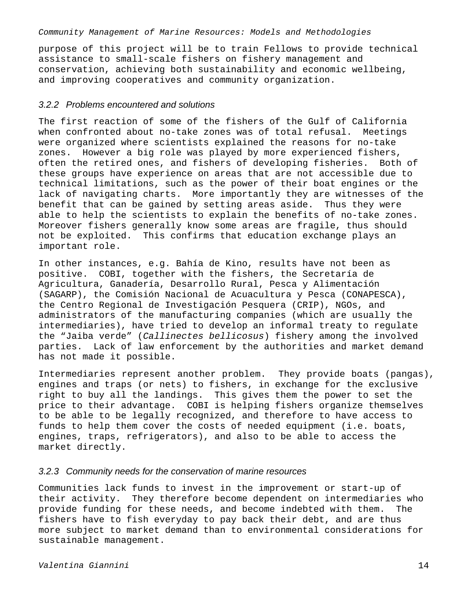purpose of this project will be to train Fellows to provide technical assistance to small-scale fishers on fishery management and conservation, achieving both sustainability and economic wellbeing, and improving cooperatives and community organization.

# *3.2.2 Problems encountered and solutions*

The first reaction of some of the fishers of the Gulf of California when confronted about no-take zones was of total refusal. Meetings were organized where scientists explained the reasons for no-take zones. However a big role was played by more experienced fishers, often the retired ones, and fishers of developing fisheries. Both of these groups have experience on areas that are not accessible due to technical limitations, such as the power of their boat engines or the lack of navigating charts. More importantly they are witnesses of the benefit that can be gained by setting areas aside. Thus they were able to help the scientists to explain the benefits of no-take zones. Moreover fishers generally know some areas are fragile, thus should not be exploited. This confirms that education exchange plays an important role.

In other instances, e.g. Bahía de Kino, results have not been as positive. COBI, together with the fishers, the Secretaría de Agricultura, Ganadería, Desarrollo Rural, Pesca y Alimentación (SAGARP), the Comisión Nacional de Acuacultura y Pesca (CONAPESCA), the Centro Regional de Investigación Pesquera (CRIP), NGOs, and administrators of the manufacturing companies (which are usually the intermediaries), have tried to develop an informal treaty to regulate the "Jaiba verde" (*Callinectes bellicosus*) fishery among the involved parties. Lack of law enforcement by the authorities and market demand has not made it possible.

Intermediaries represent another problem. They provide boats (pangas), engines and traps (or nets) to fishers, in exchange for the exclusive right to buy all the landings. This gives them the power to set the price to their advantage. COBI is helping fishers organize themselves to be able to be legally recognized, and therefore to have access to funds to help them cover the costs of needed equipment (i.e. boats, engines, traps, refrigerators), and also to be able to access the market directly.

# *3.2.3 Community needs for the conservation of marine resources*

Communities lack funds to invest in the improvement or start-up of their activity. They therefore become dependent on intermediaries who provide funding for these needs, and become indebted with them. The fishers have to fish everyday to pay back their debt, and are thus more subject to market demand than to environmental considerations for sustainable management.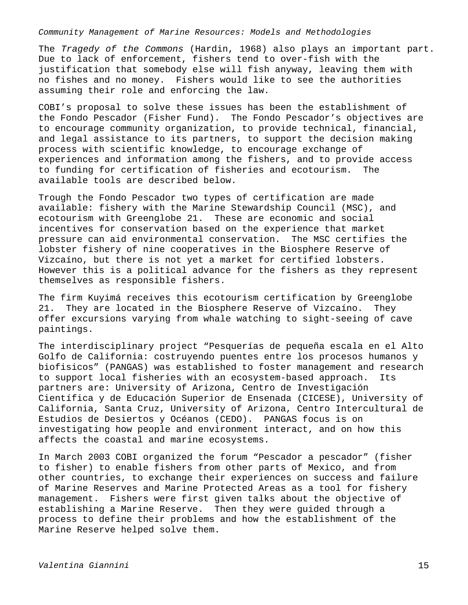The *Tragedy of the Commons* (Hardin, 1968) also plays an important part. Due to lack of enforcement, fishers tend to over-fish with the justification that somebody else will fish anyway, leaving them with no fishes and no money. Fishers would like to see the authorities assuming their role and enforcing the law.

COBI's proposal to solve these issues has been the establishment of the Fondo Pescador (Fisher Fund). The Fondo Pescador's objectives are to encourage community organization, to provide technical, financial, and legal assistance to its partners, to support the decision making process with scientific knowledge, to encourage exchange of experiences and information among the fishers, and to provide access to funding for certification of fisheries and ecotourism. The available tools are described below.

Trough the Fondo Pescador two types of certification are made available: fishery with the Marine Stewardship Council (MSC), and ecotourism with Greenglobe 21. These are economic and social incentives for conservation based on the experience that market pressure can aid environmental conservation. The MSC certifies the lobster fishery of nine cooperatives in the Biosphere Reserve of Vizcaíno, but there is not yet a market for certified lobsters. However this is a political advance for the fishers as they represent themselves as responsible fishers.

The firm Kuyimá receives this ecotourism certification by Greenglobe 21. They are located in the Biosphere Reserve of Vizcaíno. They offer excursions varying from whale watching to sight-seeing of cave paintings.

The interdisciplinary project "Pesquerías de pequeña escala en el Alto Golfo de California: costruyendo puentes entre los procesos humanos y biofisicos" (PANGAS) was established to foster management and research to support local fisheries with an ecosystem-based approach. Its partners are: University of Arizona, Centro de Investigación Científica y de Educación Superior de Ensenada (CICESE), University of California, Santa Cruz, University of Arizona, Centro Intercultural de Estudios de Desiertos y Océanos (CEDO). PANGAS focus is on investigating how people and environment interact, and on how this affects the coastal and marine ecosystems.

In March 2003 COBI organized the forum "Pescador a pescador" (fisher to fisher) to enable fishers from other parts of Mexico, and from other countries, to exchange their experiences on success and failure of Marine Reserves and Marine Protected Areas as a tool for fishery management. Fishers were first given talks about the objective of establishing a Marine Reserve. Then they were guided through a process to define their problems and how the establishment of the Marine Reserve helped solve them.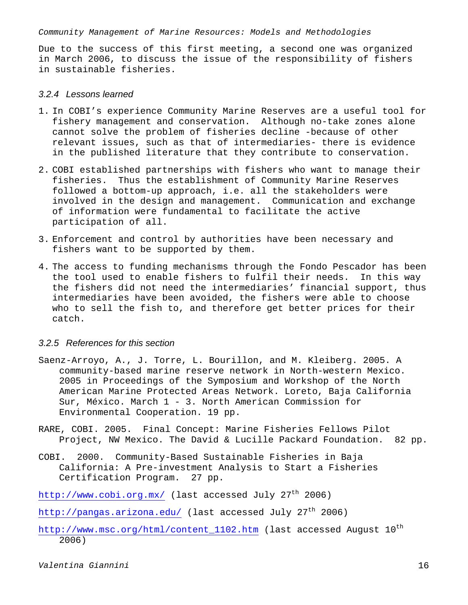Due to the success of this first meeting, a second one was organized in March 2006, to discuss the issue of the responsibility of fishers in sustainable fisheries.

### *3.2.4 Lessons learned*

- 1. In COBI's experience Community Marine Reserves are a useful tool for fishery management and conservation. Although no-take zones alone cannot solve the problem of fisheries decline -because of other relevant issues, such as that of intermediaries- there is evidence in the published literature that they contribute to conservation.
- 2. COBI established partnerships with fishers who want to manage their fisheries. Thus the establishment of Community Marine Reserves followed a bottom-up approach, i.e. all the stakeholders were involved in the design and management. Communication and exchange of information were fundamental to facilitate the active participation of all.
- 3. Enforcement and control by authorities have been necessary and fishers want to be supported by them.
- 4. The access to funding mechanisms through the Fondo Pescador has been the tool used to enable fishers to fulfil their needs. In this way the fishers did not need the intermediaries' financial support, thus intermediaries have been avoided, the fishers were able to choose who to sell the fish to, and therefore get better prices for their catch.

### *3.2.5 References for this section*

- Saenz-Arroyo, A., J. Torre, L. Bourillon, and M. Kleiberg. 2005. A community-based marine reserve network in North-western Mexico. 2005 in Proceedings of the Symposium and Workshop of the North American Marine Protected Areas Network. Loreto, Baja California Sur, México. March 1 - 3. North American Commission for Environmental Cooperation. 19 pp.
- RARE, COBI. 2005. Final Concept: Marine Fisheries Fellows Pilot Project, NW Mexico. The David & Lucille Packard Foundation. 82 pp.
- COBI. 2000. Community-Based Sustainable Fisheries in Baja California: A Pre-investment Analysis to Start a Fisheries Certification Program. 27 pp.

http://www.cobi.org.mx/ (last accessed July 27<sup>th</sup> 2006)

http://pangas.arizona.edu/ (last accessed July 27<sup>th</sup> 2006)

http://www.msc.org/html/content\_1102.htm (last accessed August  $10^{th}$ 2006)

*Valentina Giannini* 16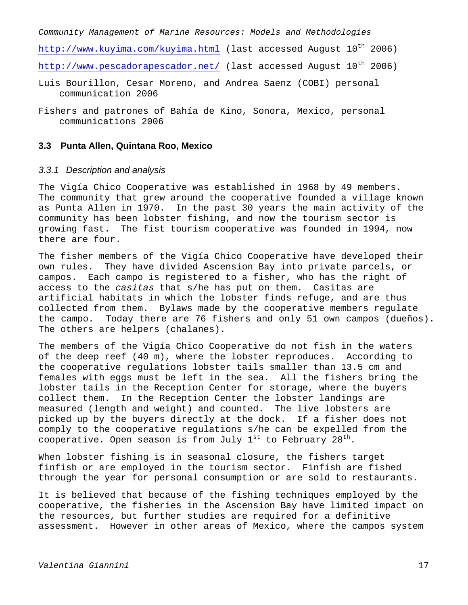*Community Management of Marine Resources: Models and Methodologies*   $http://www.kuyima.com/kuyima.html$  (last accessed August  $10<sup>th</sup>$  2006) http://www.pescadorapescador.net/ (last accessed August 10<sup>th</sup> 2006)

- Luis Bourillon, Cesar Moreno, and Andrea Saenz (COBI) personal communication 2006
- Fishers and patrones of Bahía de Kino, Sonora, Mexico, personal communications 2006

# **3.3 Punta Allen, Quintana Roo, Mexico**

## *3.3.1 Description and analysis*

The Vigía Chico Cooperative was established in 1968 by 49 members. The community that grew around the cooperative founded a village known as Punta Allen in 1970. In the past 30 years the main activity of the community has been lobster fishing, and now the tourism sector is growing fast. The fist tourism cooperative was founded in 1994, now there are four.

The fisher members of the Vigía Chico Cooperative have developed their own rules. They have divided Ascension Bay into private parcels, or campos. Each campo is registered to a fisher, who has the right of access to the *casitas* that s/he has put on them. Casitas are artificial habitats in which the lobster finds refuge, and are thus collected from them. Bylaws made by the cooperative members regulate the campo. Today there are 76 fishers and only 51 own campos (dueños). The others are helpers (chalanes).

The members of the Vigía Chico Cooperative do not fish in the waters of the deep reef (40 m), where the lobster reproduces. According to the cooperative regulations lobster tails smaller than 13.5 cm and females with eggs must be left in the sea. All the fishers bring the lobster tails in the Reception Center for storage, where the buyers collect them. In the Reception Center the lobster landings are measured (length and weight) and counted. The live lobsters are picked up by the buyers directly at the dock. If a fisher does not comply to the cooperative regulations s/he can be expelled from the cooperative. Open season is from July  $1^{st}$  to February  $28^{th}$ .

When lobster fishing is in seasonal closure, the fishers target finfish or are employed in the tourism sector. Finfish are fished through the year for personal consumption or are sold to restaurants.

It is believed that because of the fishing techniques employed by the cooperative, the fisheries in the Ascension Bay have limited impact on the resources, but further studies are required for a definitive assessment. However in other areas of Mexico, where the campos system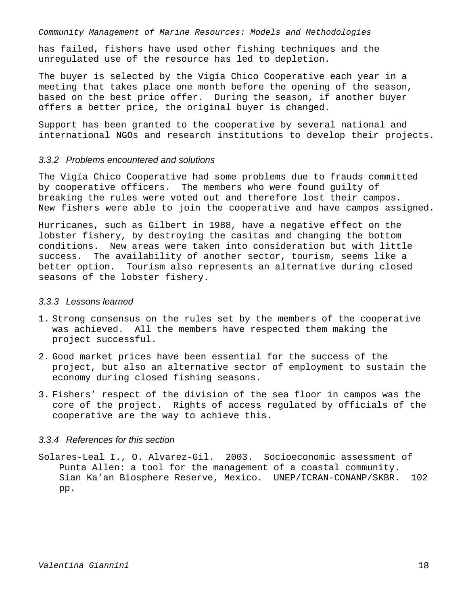has failed, fishers have used other fishing techniques and the unregulated use of the resource has led to depletion.

The buyer is selected by the Vigía Chico Cooperative each year in a meeting that takes place one month before the opening of the season, based on the best price offer. During the season, if another buyer offers a better price, the original buyer is changed.

Support has been granted to the cooperative by several national and international NGOs and research institutions to develop their projects.

## *3.3.2 Problems encountered and solutions*

The Vigía Chico Cooperative had some problems due to frauds committed by cooperative officers. The members who were found guilty of breaking the rules were voted out and therefore lost their campos. New fishers were able to join the cooperative and have campos assigned.

Hurricanes, such as Gilbert in 1988, have a negative effect on the lobster fishery, by destroying the casitas and changing the bottom conditions. New areas were taken into consideration but with little success. The availability of another sector, tourism, seems like a better option. Tourism also represents an alternative during closed seasons of the lobster fishery.

### *3.3.3 Lessons learned*

- 1. Strong consensus on the rules set by the members of the cooperative was achieved. All the members have respected them making the project successful.
- 2. Good market prices have been essential for the success of the project, but also an alternative sector of employment to sustain the economy during closed fishing seasons.
- 3. Fishers' respect of the division of the sea floor in campos was the core of the project. Rights of access regulated by officials of the cooperative are the way to achieve this.

### *3.3.4 References for this section*

Solares-Leal I., O. Alvarez-Gil. 2003. Socioeconomic assessment of Punta Allen: a tool for the management of a coastal community. Sian Ka'an Biosphere Reserve, Mexico. UNEP/ICRAN-CONANP/SKBR. 102 pp.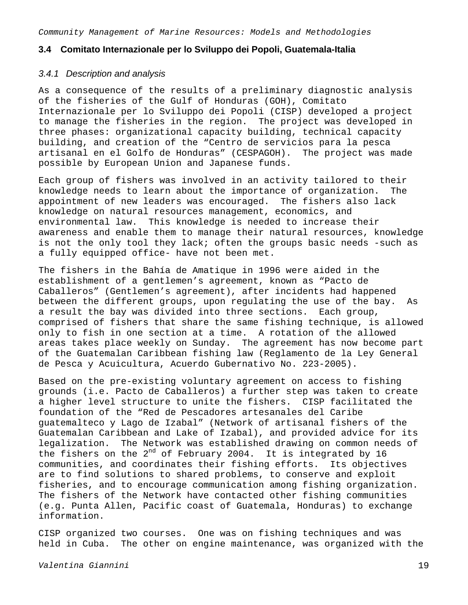### **3.4 Comitato Internazionale per lo Sviluppo dei Popoli, Guatemala-Italia**

### *3.4.1 Description and analysis*

As a consequence of the results of a preliminary diagnostic analysis of the fisheries of the Gulf of Honduras (GOH), Comitato Internazionale per lo Sviluppo dei Popoli (CISP) developed a project to manage the fisheries in the region. The project was developed in three phases: organizational capacity building, technical capacity building, and creation of the "Centro de servicios para la pesca artisanal en el Golfo de Honduras" (CESPAGOH). The project was made possible by European Union and Japanese funds.

Each group of fishers was involved in an activity tailored to their knowledge needs to learn about the importance of organization. The appointment of new leaders was encouraged. The fishers also lack knowledge on natural resources management, economics, and environmental law. This knowledge is needed to increase their awareness and enable them to manage their natural resources, knowledge is not the only tool they lack; often the groups basic needs -such as a fully equipped office- have not been met.

The fishers in the Bahía de Amatique in 1996 were aided in the establishment of a gentlemen's agreement, known as "Pacto de Caballeros" (Gentlemen's agreement), after incidents had happened between the different groups, upon regulating the use of the bay. As a result the bay was divided into three sections. Each group, comprised of fishers that share the same fishing technique, is allowed only to fish in one section at a time. A rotation of the allowed areas takes place weekly on Sunday. The agreement has now become part of the Guatemalan Caribbean fishing law (Reglamento de la Ley General de Pesca y Acuicultura, Acuerdo Gubernativo No. 223-2005).

Based on the pre-existing voluntary agreement on access to fishing grounds (i.e. Pacto de Caballeros) a further step was taken to create a higher level structure to unite the fishers. CISP facilitated the foundation of the "Red de Pescadores artesanales del Caribe guatemalteco y Lago de Izabal" (Network of artisanal fishers of the Guatemalan Caribbean and Lake of Izabal), and provided advice for its legalization. The Network was established drawing on common needs of the fishers on the 2<sup>nd</sup> of February 2004. It is integrated by 16 communities, and coordinates their fishing efforts. Its objectives are to find solutions to shared problems, to conserve and exploit fisheries, and to encourage communication among fishing organization. The fishers of the Network have contacted other fishing communities (e.g. Punta Allen, Pacific coast of Guatemala, Honduras) to exchange information.

CISP organized two courses. One was on fishing techniques and was held in Cuba. The other on engine maintenance, was organized with the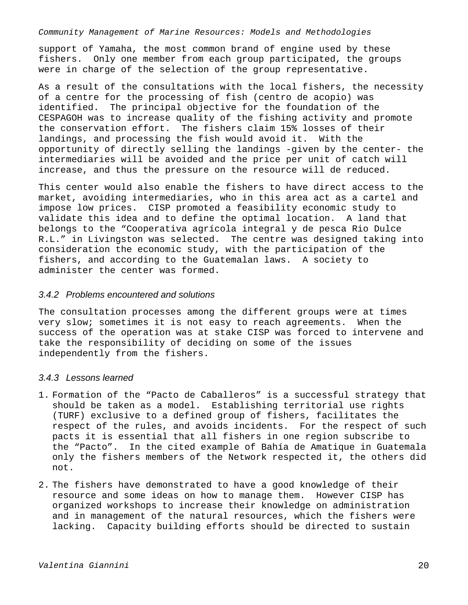support of Yamaha, the most common brand of engine used by these fishers. Only one member from each group participated, the groups were in charge of the selection of the group representative.

As a result of the consultations with the local fishers, the necessity of a centre for the processing of fish (centro de acopio) was identified. The principal objective for the foundation of the CESPAGOH was to increase quality of the fishing activity and promote the conservation effort. The fishers claim 15% losses of their landings, and processing the fish would avoid it. With the opportunity of directly selling the landings -given by the center- the intermediaries will be avoided and the price per unit of catch will increase, and thus the pressure on the resource will de reduced.

This center would also enable the fishers to have direct access to the market, avoiding intermediaries, who in this area act as a cartel and impose low prices. CISP promoted a feasibility economic study to validate this idea and to define the optimal location. A land that belongs to the "Cooperativa agrícola integral y de pesca Rio Dulce R.L." in Livingston was selected. The centre was designed taking into consideration the economic study, with the participation of the fishers, and according to the Guatemalan laws. A society to administer the center was formed.

### *3.4.2 Problems encountered and solutions*

The consultation processes among the different groups were at times very slow; sometimes it is not easy to reach agreements. When the success of the operation was at stake CISP was forced to intervene and take the responsibility of deciding on some of the issues independently from the fishers.

# *3.4.3 Lessons learned*

- 1. Formation of the "Pacto de Caballeros" is a successful strategy that should be taken as a model. Establishing territorial use rights (TURF) exclusive to a defined group of fishers, facilitates the respect of the rules, and avoids incidents. For the respect of such pacts it is essential that all fishers in one region subscribe to the "Pacto". In the cited example of Bahía de Amatique in Guatemala only the fishers members of the Network respected it, the others did not.
- 2. The fishers have demonstrated to have a good knowledge of their resource and some ideas on how to manage them. However CISP has organized workshops to increase their knowledge on administration and in management of the natural resources, which the fishers were lacking. Capacity building efforts should be directed to sustain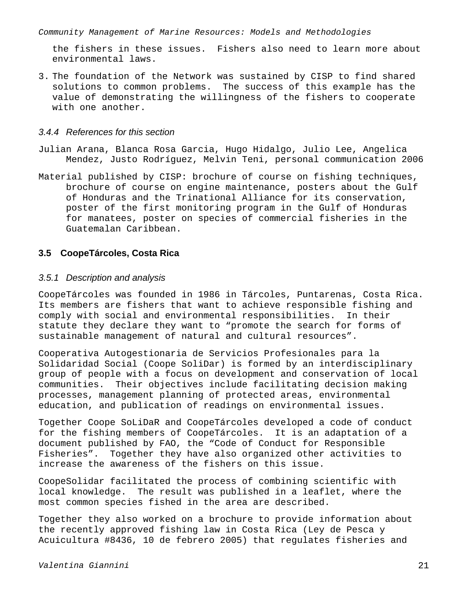the fishers in these issues. Fishers also need to learn more about environmental laws.

3. The foundation of the Network was sustained by CISP to find shared solutions to common problems. The success of this example has the value of demonstrating the willingness of the fishers to cooperate with one another.

### *3.4.4 References for this section*

- Julian Arana, Blanca Rosa Garcia, Hugo Hidalgo, Julio Lee, Angelica Mendez, Justo Rodríguez, Melvin Teni, personal communication 2006
- Material published by CISP: brochure of course on fishing techniques, brochure of course on engine maintenance, posters about the Gulf of Honduras and the Trinational Alliance for its conservation, poster of the first monitoring program in the Gulf of Honduras for manatees, poster on species of commercial fisheries in the Guatemalan Caribbean.

# **3.5 CoopeTárcoles, Costa Rica**

### *3.5.1 Description and analysis*

CoopeTárcoles was founded in 1986 in Tárcoles, Puntarenas, Costa Rica. Its members are fishers that want to achieve responsible fishing and comply with social and environmental responsibilities. In their statute they declare they want to "promote the search for forms of sustainable management of natural and cultural resources".

Cooperativa Autogestionaria de Servicios Profesionales para la Solidaridad Social (Coope SoliDar) is formed by an interdisciplinary group of people with a focus on development and conservation of local communities. Their objectives include facilitating decision making processes, management planning of protected areas, environmental education, and publication of readings on environmental issues.

Together Coope SoLiDaR and CoopeTárcoles developed a code of conduct for the fishing members of CoopeTárcoles. It is an adaptation of a document published by FAO, the "Code of Conduct for Responsible Fisheries". Together they have also organized other activities to increase the awareness of the fishers on this issue.

CoopeSolidar facilitated the process of combining scientific with local knowledge. The result was published in a leaflet, where the most common species fished in the area are described.

Together they also worked on a brochure to provide information about the recently approved fishing law in Costa Rica (Ley de Pesca y Acuicultura #8436, 10 de febrero 2005) that regulates fisheries and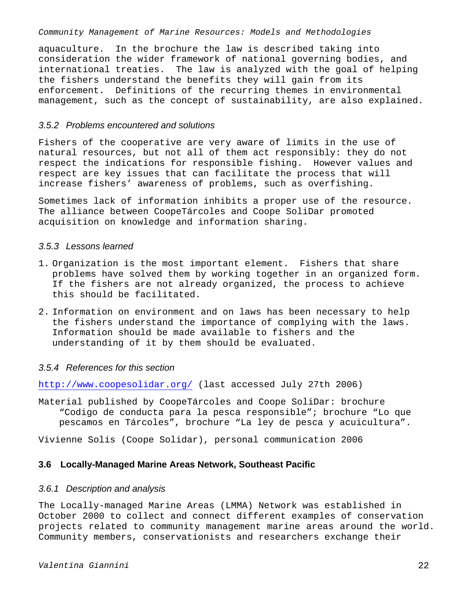aquaculture. In the brochure the law is described taking into consideration the wider framework of national governing bodies, and international treaties. The law is analyzed with the goal of helping the fishers understand the benefits they will gain from its enforcement. Definitions of the recurring themes in environmental management, such as the concept of sustainability, are also explained.

### *3.5.2 Problems encountered and solutions*

Fishers of the cooperative are very aware of limits in the use of natural resources, but not all of them act responsibly: they do not respect the indications for responsible fishing. However values and respect are key issues that can facilitate the process that will increase fishers' awareness of problems, such as overfishing.

Sometimes lack of information inhibits a proper use of the resource. The alliance between CoopeTárcoles and Coope SoliDar promoted acquisition on knowledge and information sharing.

### *3.5.3 Lessons learned*

- 1. Organization is the most important element. Fishers that share problems have solved them by working together in an organized form. If the fishers are not already organized, the process to achieve this should be facilitated.
- 2. Information on environment and on laws has been necessary to help the fishers understand the importance of complying with the laws. Information should be made available to fishers and the understanding of it by them should be evaluated.

# *3.5.4 References for this section*

http://www.coopesolidar.org/ (last accessed July 27th 2006)

Material published by CoopeTárcoles and Coope SoliDar: brochure "Codigo de conducta para la pesca responsible"; brochure "Lo que pescamos en Tárcoles", brochure "La ley de pesca y acuicultura".

Vivienne Solis (Coope Solidar), personal communication 2006

### **3.6 Locally-Managed Marine Areas Network, Southeast Pacific**

### *3.6.1 Description and analysis*

The Locally-managed Marine Areas (LMMA) Network was established in October 2000 to collect and connect different examples of conservation projects related to community management marine areas around the world. Community members, conservationists and researchers exchange their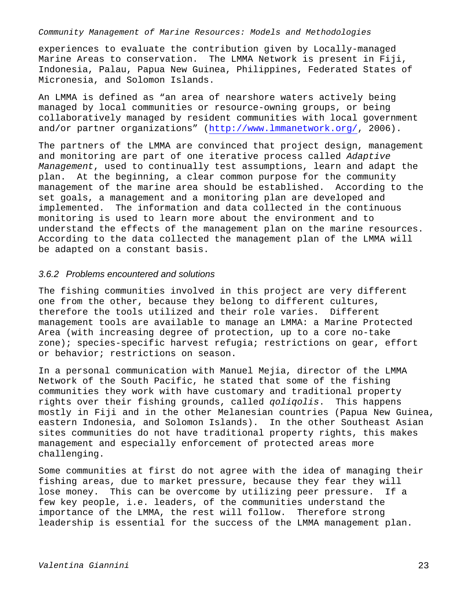experiences to evaluate the contribution given by Locally-managed Marine Areas to conservation. The LMMA Network is present in Fiji, Indonesia, Palau, Papua New Guinea, Philippines, Federated States of Micronesia, and Solomon Islands.

An LMMA is defined as "an area of nearshore waters actively being managed by local communities or resource-owning groups, or being collaboratively managed by resident communities with local government and/or partner organizations" (http://www.lmmanetwork.org/, 2006).

The partners of the LMMA are convinced that project design, management and monitoring are part of one iterative process called *Adaptive Management*, used to continually test assumptions, learn and adapt the plan. At the beginning, a clear common purpose for the community management of the marine area should be established. According to the set goals, a management and a monitoring plan are developed and implemented. The information and data collected in the continuous monitoring is used to learn more about the environment and to understand the effects of the management plan on the marine resources. According to the data collected the management plan of the LMMA will be adapted on a constant basis.

### *3.6.2 Problems encountered and solutions*

The fishing communities involved in this project are very different one from the other, because they belong to different cultures, therefore the tools utilized and their role varies. Different management tools are available to manage an LMMA: a Marine Protected Area (with increasing degree of protection, up to a core no-take zone); species-specific harvest refugia; restrictions on gear, effort or behavior; restrictions on season.

In a personal communication with Manuel Mejia, director of the LMMA Network of the South Pacific, he stated that some of the fishing communities they work with have customary and traditional property rights over their fishing grounds, called *qoliqolis*. This happens mostly in Fiji and in the other Melanesian countries (Papua New Guinea, eastern Indonesia, and Solomon Islands). In the other Southeast Asian sites communities do not have traditional property rights, this makes management and especially enforcement of protected areas more challenging.

Some communities at first do not agree with the idea of managing their fishing areas, due to market pressure, because they fear they will lose money. This can be overcome by utilizing peer pressure. If a few key people, i.e. leaders, of the communities understand the importance of the LMMA, the rest will follow. Therefore strong leadership is essential for the success of the LMMA management plan.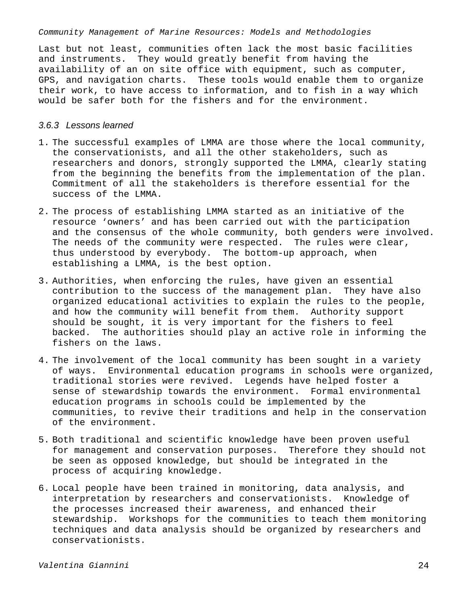Last but not least, communities often lack the most basic facilities and instruments. They would greatly benefit from having the availability of an on site office with equipment, such as computer, GPS, and navigation charts. These tools would enable them to organize their work, to have access to information, and to fish in a way which would be safer both for the fishers and for the environment.

### *3.6.3 Lessons learned*

- 1. The successful examples of LMMA are those where the local community, the conservationists, and all the other stakeholders, such as researchers and donors, strongly supported the LMMA, clearly stating from the beginning the benefits from the implementation of the plan. Commitment of all the stakeholders is therefore essential for the success of the LMMA.
- 2. The process of establishing LMMA started as an initiative of the resource 'owners' and has been carried out with the participation and the consensus of the whole community, both genders were involved. The needs of the community were respected. The rules were clear, thus understood by everybody. The bottom-up approach, when establishing a LMMA, is the best option.
- 3. Authorities, when enforcing the rules, have given an essential contribution to the success of the management plan. They have also organized educational activities to explain the rules to the people, and how the community will benefit from them. Authority support should be sought, it is very important for the fishers to feel backed. The authorities should play an active role in informing the fishers on the laws.
- 4. The involvement of the local community has been sought in a variety of ways. Environmental education programs in schools were organized, traditional stories were revived. Legends have helped foster a sense of stewardship towards the environment. Formal environmental education programs in schools could be implemented by the communities, to revive their traditions and help in the conservation of the environment.
- 5. Both traditional and scientific knowledge have been proven useful for management and conservation purposes. Therefore they should not be seen as opposed knowledge, but should be integrated in the process of acquiring knowledge.
- 6. Local people have been trained in monitoring, data analysis, and interpretation by researchers and conservationists. Knowledge of the processes increased their awareness, and enhanced their stewardship. Workshops for the communities to teach them monitoring techniques and data analysis should be organized by researchers and conservationists.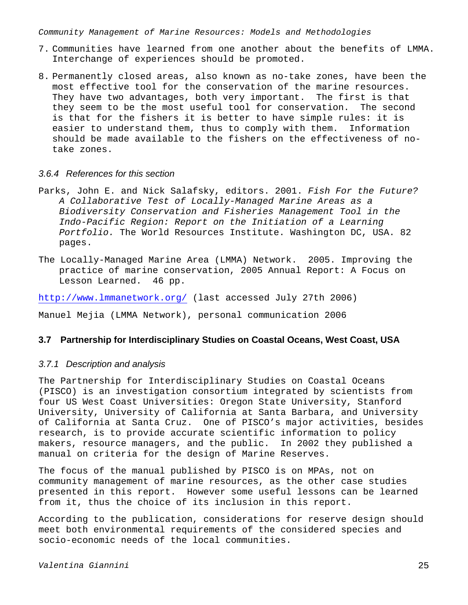- 7. Communities have learned from one another about the benefits of LMMA. Interchange of experiences should be promoted.
- 8. Permanently closed areas, also known as no-take zones, have been the most effective tool for the conservation of the marine resources. They have two advantages, both very important. The first is that they seem to be the most useful tool for conservation. The second is that for the fishers it is better to have simple rules: it is easier to understand them, thus to comply with them. Information should be made available to the fishers on the effectiveness of notake zones.

# *3.6.4 References for this section*

- Parks, John E. and Nick Salafsky, editors. 2001. *Fish For the Future? A Collaborative Test of Locally-Managed Marine Areas as a Biodiversity Conservation and Fisheries Management Tool in the Indo-Pacific Region: Report on the Initiation of a Learning Portfolio.* The World Resources Institute. Washington DC, USA. 82 pages.
- The Locally-Managed Marine Area (LMMA) Network. 2005. Improving the practice of marine conservation, 2005 Annual Report: A Focus on Lesson Learned. 46 pp.

http://www.lmmanetwork.org/ (last accessed July 27th 2006)

Manuel Mejia (LMMA Network), personal communication 2006

## **3.7 Partnership for Interdisciplinary Studies on Coastal Oceans, West Coast, USA**

### *3.7.1 Description and analysis*

The Partnership for Interdisciplinary Studies on Coastal Oceans (PISCO) is an investigation consortium integrated by scientists from four US West Coast Universities: Oregon State University, Stanford University, University of California at Santa Barbara, and University of California at Santa Cruz. One of PISCO's major activities, besides research, is to provide accurate scientific information to policy makers, resource managers, and the public. In 2002 they published a manual on criteria for the design of Marine Reserves.

The focus of the manual published by PISCO is on MPAs, not on community management of marine resources, as the other case studies presented in this report. However some useful lessons can be learned from it, thus the choice of its inclusion in this report.

According to the publication, considerations for reserve design should meet both environmental requirements of the considered species and socio-economic needs of the local communities.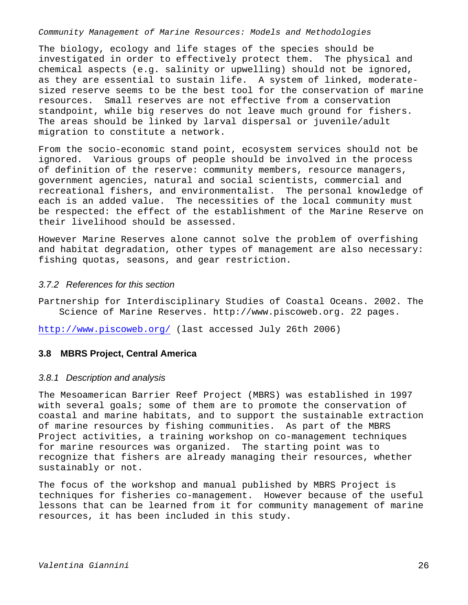The biology, ecology and life stages of the species should be investigated in order to effectively protect them. The physical and chemical aspects (e.g. salinity or upwelling) should not be ignored, as they are essential to sustain life. A system of linked, moderatesized reserve seems to be the best tool for the conservation of marine resources. Small reserves are not effective from a conservation standpoint, while big reserves do not leave much ground for fishers. The areas should be linked by larval dispersal or juvenile/adult migration to constitute a network.

From the socio-economic stand point, ecosystem services should not be ignored. Various groups of people should be involved in the process of definition of the reserve: community members, resource managers, government agencies, natural and social scientists, commercial and recreational fishers, and environmentalist. The personal knowledge of each is an added value. The necessities of the local community must be respected: the effect of the establishment of the Marine Reserve on their livelihood should be assessed.

However Marine Reserves alone cannot solve the problem of overfishing and habitat degradation, other types of management are also necessary: fishing quotas, seasons, and gear restriction.

## *3.7.2 References for this section*

Partnership for Interdisciplinary Studies of Coastal Oceans. 2002. The Science of Marine Reserves. http://www.piscoweb.org. 22 pages.

http://www.piscoweb.org/ (last accessed July 26th 2006)

## **3.8 MBRS Project, Central America**

## *3.8.1 Description and analysis*

The Mesoamerican Barrier Reef Project (MBRS) was established in 1997 with several goals; some of them are to promote the conservation of coastal and marine habitats, and to support the sustainable extraction of marine resources by fishing communities. As part of the MBRS Project activities, a training workshop on co-management techniques for marine resources was organized. The starting point was to recognize that fishers are already managing their resources, whether sustainably or not.

The focus of the workshop and manual published by MBRS Project is techniques for fisheries co-management. However because of the useful lessons that can be learned from it for community management of marine resources, it has been included in this study.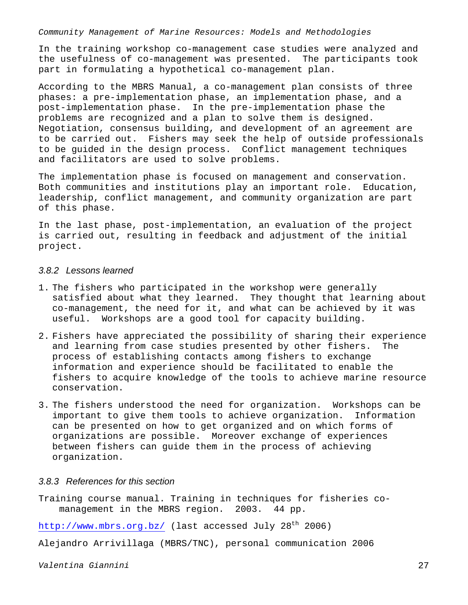In the training workshop co-management case studies were analyzed and the usefulness of co-management was presented. The participants took part in formulating a hypothetical co-management plan.

According to the MBRS Manual, a co-management plan consists of three phases: a pre-implementation phase, an implementation phase, and a post-implementation phase. In the pre-implementation phase the problems are recognized and a plan to solve them is designed. Negotiation, consensus building, and development of an agreement are to be carried out. Fishers may seek the help of outside professionals to be guided in the design process. Conflict management techniques and facilitators are used to solve problems.

The implementation phase is focused on management and conservation. Both communities and institutions play an important role. Education, leadership, conflict management, and community organization are part of this phase.

In the last phase, post-implementation, an evaluation of the project is carried out, resulting in feedback and adjustment of the initial project.

### *3.8.2 Lessons learned*

- 1. The fishers who participated in the workshop were generally satisfied about what they learned. They thought that learning about co-management, the need for it, and what can be achieved by it was useful. Workshops are a good tool for capacity building.
- 2. Fishers have appreciated the possibility of sharing their experience and learning from case studies presented by other fishers. The process of establishing contacts among fishers to exchange information and experience should be facilitated to enable the fishers to acquire knowledge of the tools to achieve marine resource conservation.
- 3. The fishers understood the need for organization. Workshops can be important to give them tools to achieve organization. Information can be presented on how to get organized and on which forms of organizations are possible. Moreover exchange of experiences between fishers can guide them in the process of achieving organization.

### *3.8.3 References for this section*

Training course manual. Training in techniques for fisheries comanagement in the MBRS region. 2003. 44 pp.

http://www.mbrs.org.bz/ (last accessed July 28<sup>th</sup> 2006)

Alejandro Arrivillaga (MBRS/TNC), personal communication 2006

*Valentina Giannini* 27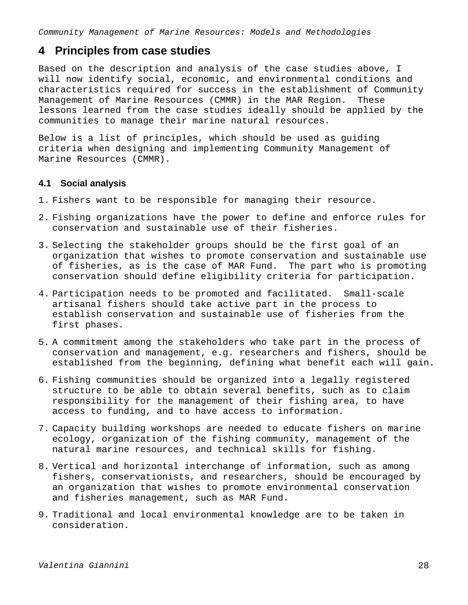# **4 Principles from case studies**

Based on the description and analysis of the case studies above, I will now identify social, economic, and environmental conditions and characteristics required for success in the establishment of Community Management of Marine Resources (CMMR) in the MAR Region. These lessons learned from the case studies ideally should be applied by the communities to manage their marine natural resources.

Below is a list of principles, which should be used as guiding criteria when designing and implementing Community Management of Marine Resources (CMMR).

## **4.1 Social analysis**

- 1. Fishers want to be responsible for managing their resource.
- 2. Fishing organizations have the power to define and enforce rules for conservation and sustainable use of their fisheries.
- 3. Selecting the stakeholder groups should be the first goal of an organization that wishes to promote conservation and sustainable use of fisheries, as is the case of MAR Fund. The part who is promoting conservation should define eligibility criteria for participation.
- 4. Participation needs to be promoted and facilitated. Small-scale artisanal fishers should take active part in the process to establish conservation and sustainable use of fisheries from the first phases.
- 5. A commitment among the stakeholders who take part in the process of conservation and management, e.g. researchers and fishers, should be established from the beginning, defining what benefit each will gain.
- 6. Fishing communities should be organized into a legally registered structure to be able to obtain several benefits, such as to claim responsibility for the management of their fishing area, to have access to funding, and to have access to information.
- 7. Capacity building workshops are needed to educate fishers on marine ecology, organization of the fishing community, management of the natural marine resources, and technical skills for fishing.
- 8. Vertical and horizontal interchange of information, such as among fishers, conservationists, and researchers, should be encouraged by an organization that wishes to promote environmental conservation and fisheries management, such as MAR Fund.
- 9. Traditional and local environmental knowledge are to be taken in consideration.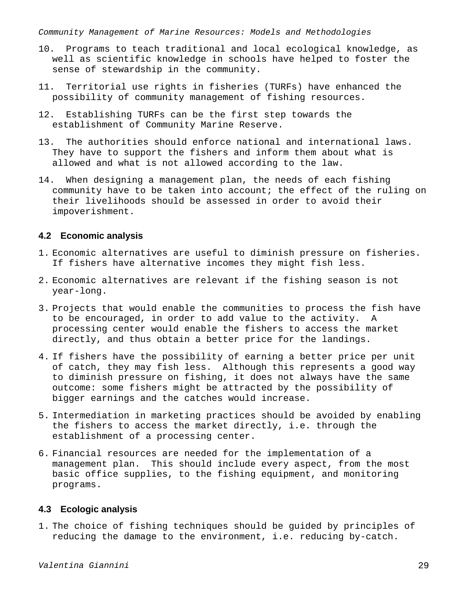- 10. Programs to teach traditional and local ecological knowledge, as well as scientific knowledge in schools have helped to foster the sense of stewardship in the community.
- 11. Territorial use rights in fisheries (TURFs) have enhanced the possibility of community management of fishing resources.
- 12. Establishing TURFs can be the first step towards the establishment of Community Marine Reserve.
- 13. The authorities should enforce national and international laws. They have to support the fishers and inform them about what is allowed and what is not allowed according to the law.
- 14. When designing a management plan, the needs of each fishing community have to be taken into account; the effect of the ruling on their livelihoods should be assessed in order to avoid their impoverishment.

## **4.2 Economic analysis**

- 1. Economic alternatives are useful to diminish pressure on fisheries. If fishers have alternative incomes they might fish less.
- 2. Economic alternatives are relevant if the fishing season is not year-long.
- 3. Projects that would enable the communities to process the fish have to be encouraged, in order to add value to the activity. A processing center would enable the fishers to access the market directly, and thus obtain a better price for the landings.
- 4. If fishers have the possibility of earning a better price per unit of catch, they may fish less. Although this represents a good way to diminish pressure on fishing, it does not always have the same outcome: some fishers might be attracted by the possibility of bigger earnings and the catches would increase.
- 5. Intermediation in marketing practices should be avoided by enabling the fishers to access the market directly, i.e. through the establishment of a processing center.
- 6. Financial resources are needed for the implementation of a management plan. This should include every aspect, from the most basic office supplies, to the fishing equipment, and monitoring programs.

# **4.3 Ecologic analysis**

1. The choice of fishing techniques should be guided by principles of reducing the damage to the environment, i.e. reducing by-catch.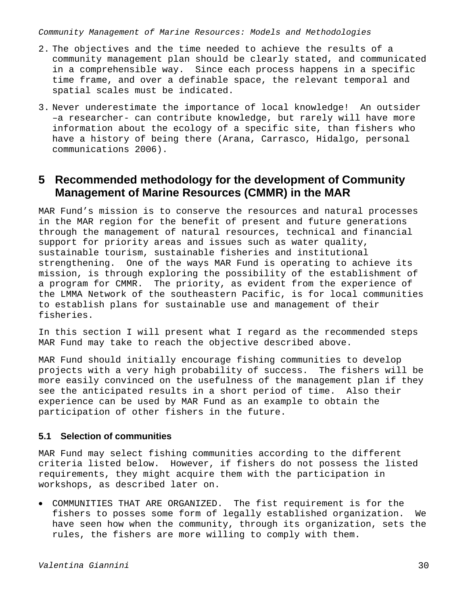- 2. The objectives and the time needed to achieve the results of a community management plan should be clearly stated, and communicated in a comprehensible way. Since each process happens in a specific time frame, and over a definable space, the relevant temporal and spatial scales must be indicated.
- 3. Never underestimate the importance of local knowledge! An outsider –a researcher- can contribute knowledge, but rarely will have more information about the ecology of a specific site, than fishers who have a history of being there (Arana, Carrasco, Hidalgo, personal communications 2006).

# **5 Recommended methodology for the development of Community Management of Marine Resources (CMMR) in the MAR**

MAR Fund's mission is to conserve the resources and natural processes in the MAR region for the benefit of present and future generations through the management of natural resources, technical and financial support for priority areas and issues such as water quality, sustainable tourism, sustainable fisheries and institutional strengthening. One of the ways MAR Fund is operating to achieve its mission, is through exploring the possibility of the establishment of a program for CMMR. The priority, as evident from the experience of the LMMA Network of the southeastern Pacific, is for local communities to establish plans for sustainable use and management of their fisheries.

In this section I will present what I regard as the recommended steps MAR Fund may take to reach the objective described above.

MAR Fund should initially encourage fishing communities to develop projects with a very high probability of success. The fishers will be more easily convinced on the usefulness of the management plan if they see the anticipated results in a short period of time. Also their experience can be used by MAR Fund as an example to obtain the participation of other fishers in the future.

## **5.1 Selection of communities**

MAR Fund may select fishing communities according to the different criteria listed below. However, if fishers do not possess the listed requirements, they might acquire them with the participation in workshops, as described later on.

• COMMUNITIES THAT ARE ORGANIZED. The fist requirement is for the fishers to posses some form of legally established organization. We have seen how when the community, through its organization, sets the rules, the fishers are more willing to comply with them.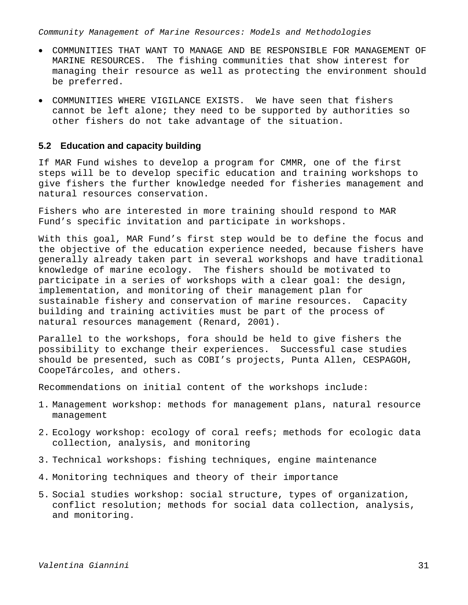- COMMUNITIES THAT WANT TO MANAGE AND BE RESPONSIBLE FOR MANAGEMENT OF MARINE RESOURCES. The fishing communities that show interest for managing their resource as well as protecting the environment should be preferred.
- COMMUNITIES WHERE VIGILANCE EXISTS. We have seen that fishers cannot be left alone; they need to be supported by authorities so other fishers do not take advantage of the situation.

### **5.2 Education and capacity building**

If MAR Fund wishes to develop a program for CMMR, one of the first steps will be to develop specific education and training workshops to give fishers the further knowledge needed for fisheries management and natural resources conservation.

Fishers who are interested in more training should respond to MAR Fund's specific invitation and participate in workshops.

With this goal, MAR Fund's first step would be to define the focus and the objective of the education experience needed, because fishers have generally already taken part in several workshops and have traditional knowledge of marine ecology. The fishers should be motivated to participate in a series of workshops with a clear goal: the design, implementation, and monitoring of their management plan for sustainable fishery and conservation of marine resources. Capacity building and training activities must be part of the process of natural resources management (Renard, 2001).

Parallel to the workshops, fora should be held to give fishers the possibility to exchange their experiences. Successful case studies should be presented, such as COBI's projects, Punta Allen, CESPAGOH, CoopeTárcoles, and others.

Recommendations on initial content of the workshops include:

- 1. Management workshop: methods for management plans, natural resource management
- 2. Ecology workshop: ecology of coral reefs; methods for ecologic data collection, analysis, and monitoring
- 3. Technical workshops: fishing techniques, engine maintenance
- 4. Monitoring techniques and theory of their importance
- 5. Social studies workshop: social structure, types of organization, conflict resolution; methods for social data collection, analysis, and monitoring.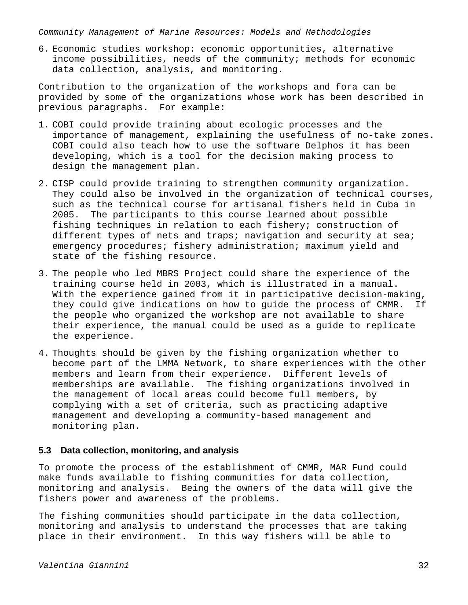6. Economic studies workshop: economic opportunities, alternative income possibilities, needs of the community; methods for economic data collection, analysis, and monitoring.

Contribution to the organization of the workshops and fora can be provided by some of the organizations whose work has been described in previous paragraphs. For example:

- 1. COBI could provide training about ecologic processes and the importance of management, explaining the usefulness of no-take zones. COBI could also teach how to use the software Delphos it has been developing, which is a tool for the decision making process to design the management plan.
- 2. CISP could provide training to strengthen community organization. They could also be involved in the organization of technical courses, such as the technical course for artisanal fishers held in Cuba in 2005. The participants to this course learned about possible fishing techniques in relation to each fishery; construction of different types of nets and traps; navigation and security at sea; emergency procedures; fishery administration; maximum yield and state of the fishing resource.
- 3. The people who led MBRS Project could share the experience of the training course held in 2003, which is illustrated in a manual. With the experience gained from it in participative decision-making, they could give indications on how to guide the process of CMMR. If the people who organized the workshop are not available to share their experience, the manual could be used as a guide to replicate the experience.
- 4. Thoughts should be given by the fishing organization whether to become part of the LMMA Network, to share experiences with the other members and learn from their experience. Different levels of memberships are available. The fishing organizations involved in the management of local areas could become full members, by complying with a set of criteria, such as practicing adaptive management and developing a community-based management and monitoring plan.

# **5.3 Data collection, monitoring, and analysis**

To promote the process of the establishment of CMMR, MAR Fund could make funds available to fishing communities for data collection, monitoring and analysis. Being the owners of the data will give the fishers power and awareness of the problems.

The fishing communities should participate in the data collection, monitoring and analysis to understand the processes that are taking place in their environment. In this way fishers will be able to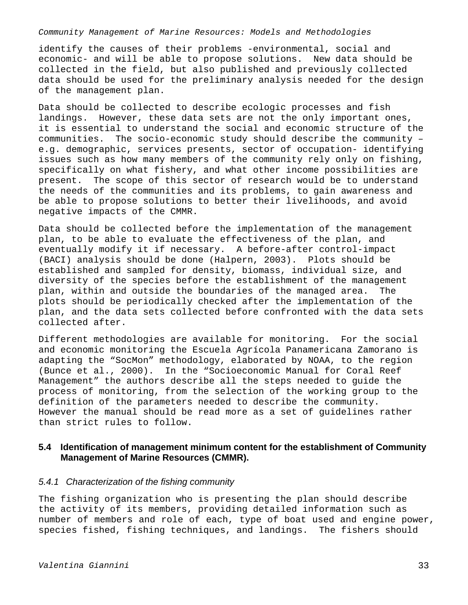identify the causes of their problems -environmental, social and economic- and will be able to propose solutions. New data should be collected in the field, but also published and previously collected data should be used for the preliminary analysis needed for the design of the management plan.

Data should be collected to describe ecologic processes and fish landings. However, these data sets are not the only important ones, it is essential to understand the social and economic structure of the communities. The socio-economic study should describe the community – e.g. demographic, services presents, sector of occupation- identifying issues such as how many members of the community rely only on fishing, specifically on what fishery, and what other income possibilities are present. The scope of this sector of research would be to understand the needs of the communities and its problems, to gain awareness and be able to propose solutions to better their livelihoods, and avoid negative impacts of the CMMR.

Data should be collected before the implementation of the management plan, to be able to evaluate the effectiveness of the plan, and eventually modify it if necessary. A before-after control-impact (BACI) analysis should be done (Halpern, 2003). Plots should be established and sampled for density, biomass, individual size, and diversity of the species before the establishment of the management plan, within and outside the boundaries of the managed area. The plots should be periodically checked after the implementation of the plan, and the data sets collected before confronted with the data sets collected after.

Different methodologies are available for monitoring. For the social and economic monitoring the Escuela Agrícola Panamericana Zamorano is adapting the "SocMon" methodology, elaborated by NOAA, to the region (Bunce et al., 2000). In the "Socioeconomic Manual for Coral Reef Management" the authors describe all the steps needed to guide the process of monitoring, from the selection of the working group to the definition of the parameters needed to describe the community. However the manual should be read more as a set of guidelines rather than strict rules to follow.

# **5.4 Identification of management minimum content for the establishment of Community Management of Marine Resources (CMMR).**

### *5.4.1 Characterization of the fishing community*

The fishing organization who is presenting the plan should describe the activity of its members, providing detailed information such as number of members and role of each, type of boat used and engine power, species fished, fishing techniques, and landings. The fishers should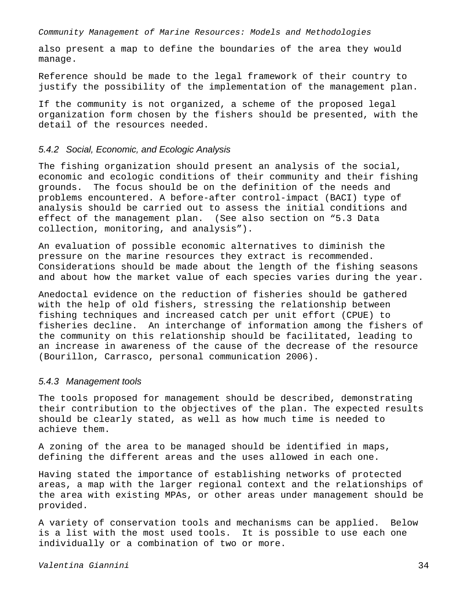also present a map to define the boundaries of the area they would manage.

Reference should be made to the legal framework of their country to justify the possibility of the implementation of the management plan.

If the community is not organized, a scheme of the proposed legal organization form chosen by the fishers should be presented, with the detail of the resources needed.

### *5.4.2 Social, Economic, and Ecologic Analysis*

The fishing organization should present an analysis of the social, economic and ecologic conditions of their community and their fishing grounds. The focus should be on the definition of the needs and problems encountered. A before-after control-impact (BACI) type of analysis should be carried out to assess the initial conditions and effect of the management plan. (See also section on "5.3 Data collection, monitoring, and analysis").

An evaluation of possible economic alternatives to diminish the pressure on the marine resources they extract is recommended. Considerations should be made about the length of the fishing seasons and about how the market value of each species varies during the year.

Anedoctal evidence on the reduction of fisheries should be gathered with the help of old fishers, stressing the relationship between fishing techniques and increased catch per unit effort (CPUE) to fisheries decline. An interchange of information among the fishers of the community on this relationship should be facilitated, leading to an increase in awareness of the cause of the decrease of the resource (Bourillon, Carrasco, personal communication 2006).

### *5.4.3 Management tools*

The tools proposed for management should be described, demonstrating their contribution to the objectives of the plan. The expected results should be clearly stated, as well as how much time is needed to achieve them.

A zoning of the area to be managed should be identified in maps, defining the different areas and the uses allowed in each one.

Having stated the importance of establishing networks of protected areas, a map with the larger regional context and the relationships of the area with existing MPAs, or other areas under management should be provided.

A variety of conservation tools and mechanisms can be applied. Below is a list with the most used tools. It is possible to use each one individually or a combination of two or more.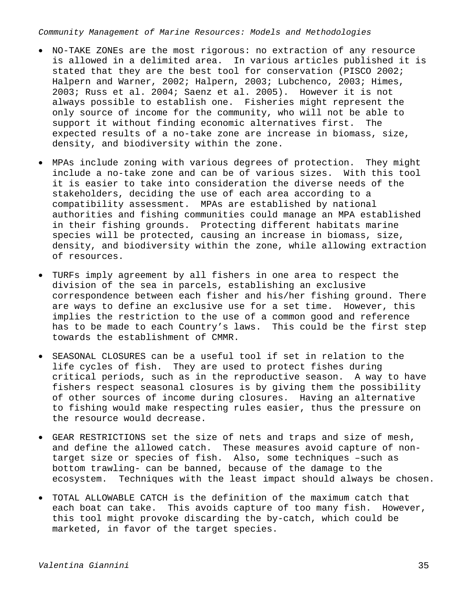- NO-TAKE ZONEs are the most rigorous: no extraction of any resource is allowed in a delimited area. In various articles published it is stated that they are the best tool for conservation (PISCO 2002; Halpern and Warner, 2002; Halpern, 2003; Lubchenco, 2003; Himes, 2003; Russ et al. 2004; Saenz et al. 2005). However it is not always possible to establish one. Fisheries might represent the only source of income for the community, who will not be able to support it without finding economic alternatives first. The expected results of a no-take zone are increase in biomass, size, density, and biodiversity within the zone.
- MPAs include zoning with various degrees of protection. They might include a no-take zone and can be of various sizes. With this tool it is easier to take into consideration the diverse needs of the stakeholders, deciding the use of each area according to a compatibility assessment. MPAs are established by national authorities and fishing communities could manage an MPA established in their fishing grounds. Protecting different habitats marine species will be protected, causing an increase in biomass, size, density, and biodiversity within the zone, while allowing extraction of resources.
- TURFs imply agreement by all fishers in one area to respect the division of the sea in parcels, establishing an exclusive correspondence between each fisher and his/her fishing ground. There are ways to define an exclusive use for a set time. However, this implies the restriction to the use of a common good and reference has to be made to each Country's laws. This could be the first step towards the establishment of CMMR.
- SEASONAL CLOSURES can be a useful tool if set in relation to the life cycles of fish. They are used to protect fishes during critical periods, such as in the reproductive season. A way to have fishers respect seasonal closures is by giving them the possibility of other sources of income during closures. Having an alternative to fishing would make respecting rules easier, thus the pressure on the resource would decrease.
- GEAR RESTRICTIONS set the size of nets and traps and size of mesh, and define the allowed catch. These measures avoid capture of nontarget size or species of fish. Also, some techniques –such as bottom trawling- can be banned, because of the damage to the ecosystem. Techniques with the least impact should always be chosen.
- TOTAL ALLOWABLE CATCH is the definition of the maximum catch that each boat can take. This avoids capture of too many fish. However, this tool might provoke discarding the by-catch, which could be marketed, in favor of the target species.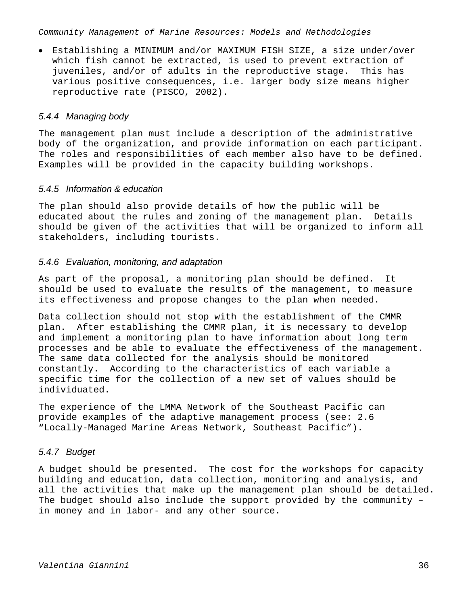• Establishing a MINIMUM and/or MAXIMUM FISH SIZE, a size under/over which fish cannot be extracted, is used to prevent extraction of juveniles, and/or of adults in the reproductive stage. This has various positive consequences, i.e. larger body size means higher reproductive rate (PISCO, 2002).

# *5.4.4 Managing body*

The management plan must include a description of the administrative body of the organization, and provide information on each participant. The roles and responsibilities of each member also have to be defined. Examples will be provided in the capacity building workshops.

## *5.4.5 Information & education*

The plan should also provide details of how the public will be educated about the rules and zoning of the management plan. Details should be given of the activities that will be organized to inform all stakeholders, including tourists.

# *5.4.6 Evaluation, monitoring, and adaptation*

As part of the proposal, a monitoring plan should be defined. It should be used to evaluate the results of the management, to measure its effectiveness and propose changes to the plan when needed.

Data collection should not stop with the establishment of the CMMR plan. After establishing the CMMR plan, it is necessary to develop and implement a monitoring plan to have information about long term processes and be able to evaluate the effectiveness of the management. The same data collected for the analysis should be monitored constantly. According to the characteristics of each variable a specific time for the collection of a new set of values should be individuated.

The experience of the LMMA Network of the Southeast Pacific can provide examples of the adaptive management process (see: 2.6 "Locally-Managed Marine Areas Network, Southeast Pacific").

# *5.4.7 Budget*

A budget should be presented. The cost for the workshops for capacity building and education, data collection, monitoring and analysis, and all the activities that make up the management plan should be detailed. The budget should also include the support provided by the community – in money and in labor- and any other source.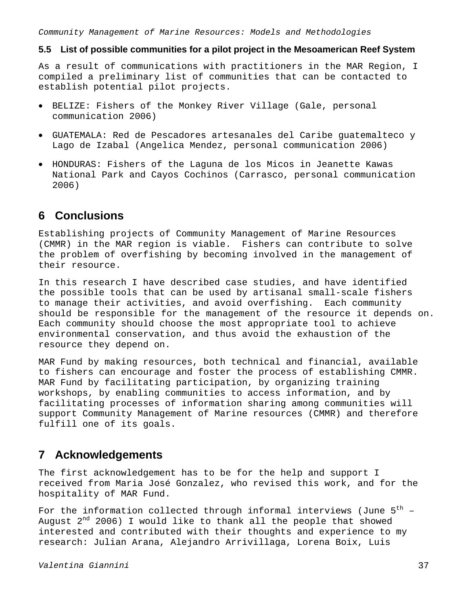# **5.5 List of possible communities for a pilot project in the Mesoamerican Reef System**

As a result of communications with practitioners in the MAR Region, I compiled a preliminary list of communities that can be contacted to establish potential pilot projects.

- BELIZE: Fishers of the Monkey River Village (Gale, personal communication 2006)
- GUATEMALA: Red de Pescadores artesanales del Caribe guatemalteco y Lago de Izabal (Angelica Mendez, personal communication 2006)
- HONDURAS: Fishers of the Laguna de los Micos in Jeanette Kawas National Park and Cayos Cochinos (Carrasco, personal communication 2006)

# **6 Conclusions**

Establishing projects of Community Management of Marine Resources (CMMR) in the MAR region is viable. Fishers can contribute to solve the problem of overfishing by becoming involved in the management of their resource.

In this research I have described case studies, and have identified the possible tools that can be used by artisanal small-scale fishers to manage their activities, and avoid overfishing. Each community should be responsible for the management of the resource it depends on. Each community should choose the most appropriate tool to achieve environmental conservation, and thus avoid the exhaustion of the resource they depend on.

MAR Fund by making resources, both technical and financial, available to fishers can encourage and foster the process of establishing CMMR. MAR Fund by facilitating participation, by organizing training workshops, by enabling communities to access information, and by facilitating processes of information sharing among communities will support Community Management of Marine resources (CMMR) and therefore fulfill one of its goals.

# **7 Acknowledgements**

The first acknowledgement has to be for the help and support I received from Maria José Gonzalez, who revised this work, and for the hospitality of MAR Fund.

For the information collected through informal interviews (June  $5<sup>th</sup>$  -August  $2^{nd}$  2006) I would like to thank all the people that showed interested and contributed with their thoughts and experience to my research: Julian Arana, Alejandro Arrivillaga, Lorena Boix, Luis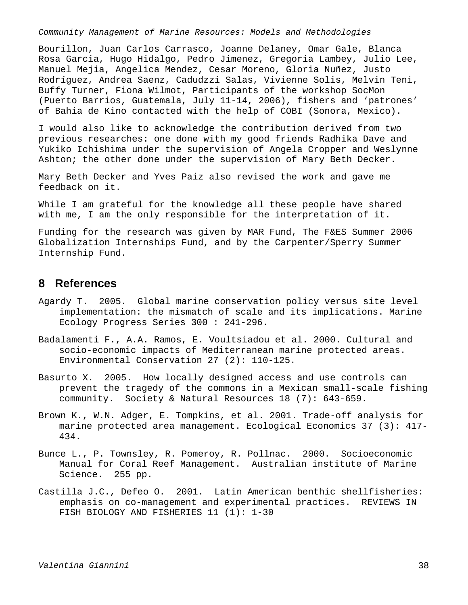Bourillon, Juan Carlos Carrasco, Joanne Delaney, Omar Gale, Blanca Rosa Garcia, Hugo Hidalgo, Pedro Jimenez, Gregoria Lambey, Julio Lee, Manuel Mejia, Angelica Mendez, Cesar Moreno, Gloria Nuñez, Justo Rodríguez, Andrea Saenz, Cadudzzi Salas, Vivienne Solis, Melvin Teni, Buffy Turner, Fiona Wilmot, Participants of the workshop SocMon (Puerto Barrios, Guatemala, July 11-14, 2006), fishers and 'patrones' of Bahia de Kino contacted with the help of COBI (Sonora, Mexico).

I would also like to acknowledge the contribution derived from two previous researches: one done with my good friends Radhika Dave and Yukiko Ichishima under the supervision of Angela Cropper and Weslynne Ashton; the other done under the supervision of Mary Beth Decker.

Mary Beth Decker and Yves Paiz also revised the work and gave me feedback on it.

While I am grateful for the knowledge all these people have shared with me, I am the only responsible for the interpretation of it.

Funding for the research was given by MAR Fund, The F&ES Summer 2006 Globalization Internships Fund, and by the Carpenter/Sperry Summer Internship Fund.

# **8 References**

- Agardy T. 2005. Global marine conservation policy versus site level implementation: the mismatch of scale and its implications. Marine Ecology Progress Series 300 : 241-296.
- Badalamenti F., A.A. Ramos, E. Voultsiadou et al. 2000. Cultural and socio-economic impacts of Mediterranean marine protected areas. Environmental Conservation 27 (2): 110-125.
- Basurto X. 2005. How locally designed access and use controls can prevent the tragedy of the commons in a Mexican small-scale fishing community. Society & Natural Resources 18 (7): 643-659.
- Brown K., W.N. Adger, E. Tompkins, et al. 2001. Trade-off analysis for marine protected area management. Ecological Economics 37 (3): 417- 434.
- Bunce L., P. Townsley, R. Pomeroy, R. Pollnac. 2000. Socioeconomic Manual for Coral Reef Management. Australian institute of Marine Science. 255 pp.
- Castilla J.C., Defeo O. 2001. Latin American benthic shellfisheries: emphasis on co-management and experimental practices. REVIEWS IN FISH BIOLOGY AND FISHERIES 11 (1): 1-30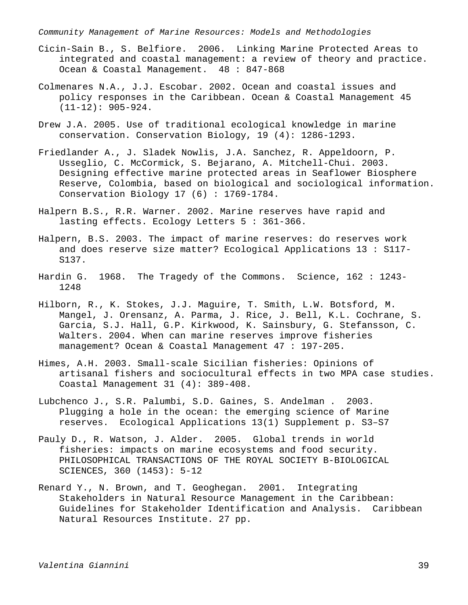- Cicin-Sain B., S. Belfiore. 2006. Linking Marine Protected Areas to integrated and coastal management: a review of theory and practice. Ocean & Coastal Management. 48 : 847-868
- Colmenares N.A., J.J. Escobar. 2002. Ocean and coastal issues and policy responses in the Caribbean. Ocean & Coastal Management 45  $(11-12): 905-924.$
- Drew J.A. 2005. Use of traditional ecological knowledge in marine conservation. Conservation Biology, 19 (4): 1286-1293.
- Friedlander A., J. Sladek Nowlis, J.A. Sanchez, R. Appeldoorn, P. Usseglio, C. McCormick, S. Bejarano, A. Mitchell-Chui. 2003. Designing effective marine protected areas in Seaflower Biosphere Reserve, Colombia, based on biological and sociological information. Conservation Biology 17 (6) : 1769-1784.
- Halpern B.S., R.R. Warner. 2002. Marine reserves have rapid and lasting effects. Ecology Letters 5 : 361-366.
- Halpern, B.S. 2003. The impact of marine reserves: do reserves work and does reserve size matter? Ecological Applications 13 : S117- S137.
- Hardin G. 1968. The Tragedy of the Commons. Science, 162 : 1243- 1248
- Hilborn, R., K. Stokes, J.J. Maguire, T. Smith, L.W. Botsford, M. Mangel, J. Orensanz, A. Parma, J. Rice, J. Bell, K.L. Cochrane, S. Garcia, S.J. Hall, G.P. Kirkwood, K. Sainsbury, G. Stefansson, C. Walters. 2004. When can marine reserves improve fisheries management? Ocean & Coastal Management 47 : 197-205.
- Himes, A.H. 2003. Small-scale Sicilian fisheries: Opinions of artisanal fishers and sociocultural effects in two MPA case studies. Coastal Management 31 (4): 389-408.
- Lubchenco J., S.R. Palumbi, S.D. Gaines, S. Andelman . 2003. Plugging a hole in the ocean: the emerging science of Marine reserves. Ecological Applications 13(1) Supplement p. S3–S7
- Pauly D., R. Watson, J. Alder. 2005. Global trends in world fisheries: impacts on marine ecosystems and food security. PHILOSOPHICAL TRANSACTIONS OF THE ROYAL SOCIETY B-BIOLOGICAL SCIENCES, 360 (1453): 5-12
- Renard Y., N. Brown, and T. Geoghegan. 2001. Integrating Stakeholders in Natural Resource Management in the Caribbean: Guidelines for Stakeholder Identification and Analysis. Caribbean Natural Resources Institute. 27 pp.